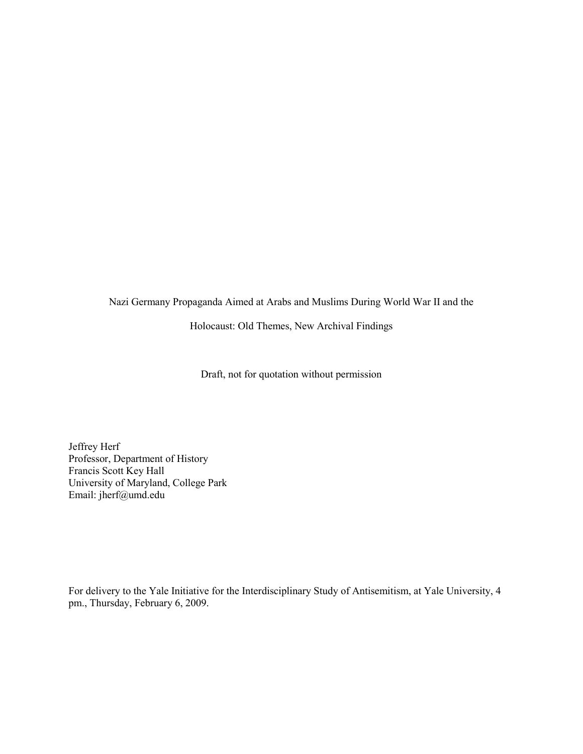Nazi Germany Propaganda Aimed at Arabs and Muslims During World War II and the

Holocaust: Old Themes, New Archival Findings

Draft, not for quotation without permission

Jeffrey Herf Professor, Department of History Francis Scott Key Hall University of Maryland, College Park Email: jherf@umd.edu

For delivery to the Yale Initiative for the Interdisciplinary Study of Antisemitism, at Yale University, 4 pm., Thursday, February 6, 2009.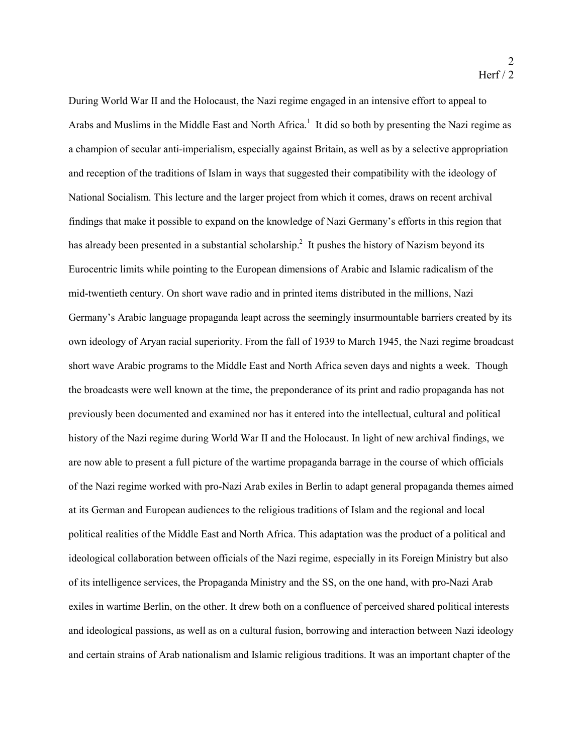During World War II and the Holocaust, the Nazi regime engaged in an intensive effort to appeal to Arabs and Muslims in the Middle East and North Africa.<sup>[1](#page-33-0)</sup> It did so both by presenting the Nazi regime as a champion of secular anti-imperialism, especially against Britain, as well as by a selective appropriation and reception of the traditions of Islam in ways that suggested their compatibility with the ideology of National Socialism. This lecture and the larger project from which it comes, draws on recent archival findings that make it possible to expand on the knowledge of Nazi Germany's efforts in this region that has already been presented in a substantial scholarship.<sup>[2](#page-33-0)</sup> It pushes the history of Nazism beyond its Eurocentric limits while pointing to the European dimensions of Arabic and Islamic radicalism of the mid-twentieth century. On short wave radio and in printed items distributed in the millions, Nazi Germany's Arabic language propaganda leapt across the seemingly insurmountable barriers created by its own ideology of Aryan racial superiority. From the fall of 1939 to March 1945, the Nazi regime broadcast short wave Arabic programs to the Middle East and North Africa seven days and nights a week. Though the broadcasts were well known at the time, the preponderance of its print and radio propaganda has not previously been documented and examined nor has it entered into the intellectual, cultural and political history of the Nazi regime during World War II and the Holocaust. In light of new archival findings, we are now able to present a full picture of the wartime propaganda barrage in the course of which officials of the Nazi regime worked with pro-Nazi Arab exiles in Berlin to adapt general propaganda themes aimed at its German and European audiences to the religious traditions of Islam and the regional and local political realities of the Middle East and North Africa. This adaptation was the product of a political and ideological collaboration between officials of the Nazi regime, especially in its Foreign Ministry but also of its intelligence services, the Propaganda Ministry and the SS, on the one hand, with pro-Nazi Arab exiles in wartime Berlin, on the other. It drew both on a confluence of perceived shared political interests and ideological passions, as well as on a cultural fusion, borrowing and interaction between Nazi ideology and certain strains of Arab nationalism and Islamic religious traditions. It was an important chapter of the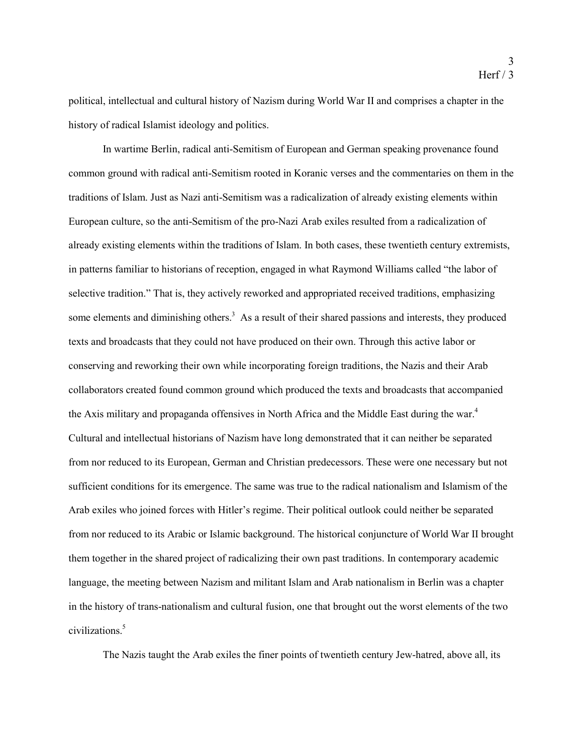political, intellectual and cultural history of Nazism during World War II and comprises a chapter in the history of radical Islamist ideology and politics.

 In wartime Berlin, radical anti-Semitism of European and German speaking provenance found common ground with radical anti-Semitism rooted in Koranic verses and the commentaries on them in the traditions of Islam. Just as Nazi anti-Semitism was a radicalization of already existing elements within European culture, so the anti-Semitism of the pro-Nazi Arab exiles resulted from a radicalization of already existing elements within the traditions of Islam. In both cases, these twentieth century extremists, in patterns familiar to historians of reception, engaged in what Raymond Williams called "the labor of selective tradition." That is, they actively reworked and appropriated received traditions, emphasizing some elements and diminishing others.<sup>[3](#page-33-0)</sup> As a result of their shared passions and interests, they produced texts and broadcasts that they could not have produced on their own. Through this active labor or conserving and reworking their own while incorporating foreign traditions, the Nazis and their Arab collaborators created found common ground which produced the texts and broadcasts that accompanied the Axis military and propaganda offensives in North Africa and the Middle East during the war.<sup>[4](#page-33-0)</sup> Cultural and intellectual historians of Nazism have long demonstrated that it can neither be separated from nor reduced to its European, German and Christian predecessors. These were one necessary but not sufficient conditions for its emergence. The same was true to the radical nationalism and Islamism of the Arab exiles who joined forces with Hitler's regime. Their political outlook could neither be separated from nor reduced to its Arabic or Islamic background. The historical conjuncture of World War II brought them together in the shared project of radicalizing their own past traditions. In contemporary academic language, the meeting between Nazism and militant Islam and Arab nationalism in Berlin was a chapter in the history of trans-nationalism and cultural fusion, one that brought out the worst elements of the two civilizations.[5](#page-33-0)

The Nazis taught the Arab exiles the finer points of twentieth century Jew-hatred, above all, its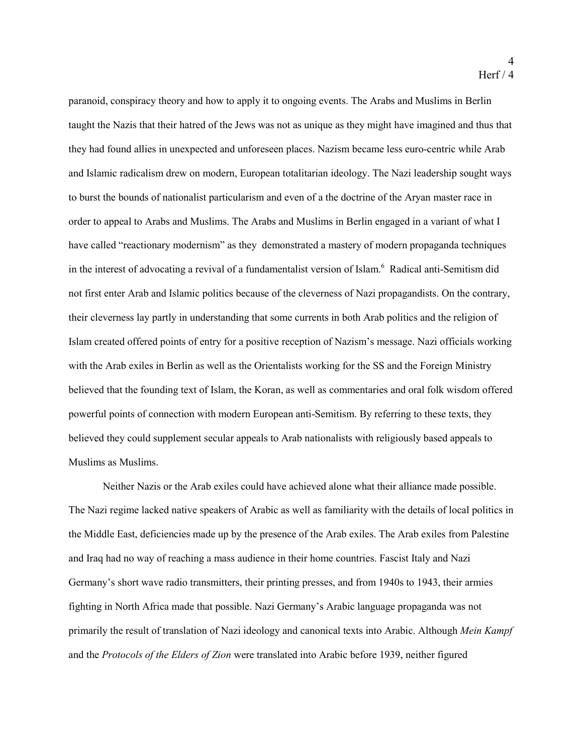paranoid, conspiracy theory and how to apply it to ongoing events. The Arabs and Muslims in Berlin taught the Nazis that their hatred of the Jews was not as unique as they might have imagined and thus that they had found allies in unexpected and unforeseen places. Nazism became less euro-centric while Arab and Islamic radicalism drew on modern, European totalitarian ideology. The Nazi leadership sought ways to burst the bounds of nationalist particularism and even of a the doctrine of the Aryan master race in order to appeal to Arabs and Muslims. The Arabs and Muslims in Berlin engaged in a variant of what I have called "reactionary modernism" as they demonstrated a mastery of modern propaganda techniques in the interest of advocating a revival of a fundamentalist version of Islam.<sup>[6](#page-33-0)</sup> Radical anti-Semitism did not first enter Arab and Islamic politics because of the cleverness of Nazi propagandists. On the contrary, their cleverness lay partly in understanding that some currents in both Arab politics and the religion of Islam created offered points of entry for a positive reception of Nazism's message. Nazi officials working with the Arab exiles in Berlin as well as the Orientalists working for the SS and the Foreign Ministry believed that the founding text of Islam, the Koran, as well as commentaries and oral folk wisdom offered powerful points of connection with modern European anti-Semitism. By referring to these texts, they believed they could supplement secular appeals to Arab nationalists with religiously based appeals to Muslims as Muslims.

 Neither Nazis or the Arab exiles could have achieved alone what their alliance made possible. The Nazi regime lacked native speakers of Arabic as well as familiarity with the details of local politics in the Middle East, deficiencies made up by the presence of the Arab exiles. The Arab exiles from Palestine and Iraq had no way of reaching a mass audience in their home countries. Fascist Italy and Nazi Germany's short wave radio transmitters, their printing presses, and from 1940s to 1943, their armies fighting in North Africa made that possible. Nazi Germany's Arabic language propaganda was not primarily the result of translation of Nazi ideology and canonical texts into Arabic. Although Mein Kampf and the Protocols of the Elders of Zion were translated into Arabic before 1939, neither figured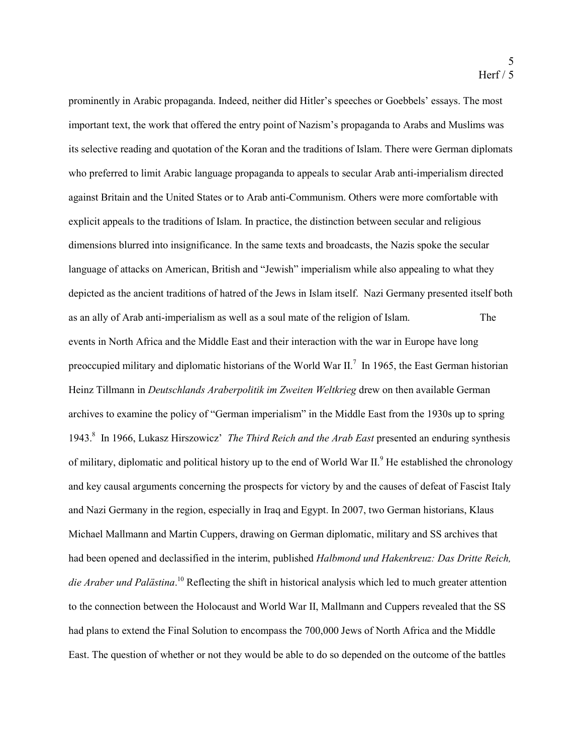<span id="page-6-0"></span>prominently in Arabic propaganda. Indeed, neither did Hitler's speeches or Goebbels' essays. The most important text, the work that offered the entry point of Nazism's propaganda to Arabs and Muslims was its selective reading and quotation of the Koran and the traditions of Islam. There were German diplomats who preferred to limit Arabic language propaganda to appeals to secular Arab anti-imperialism directed against Britain and the United States or to Arab anti-Communism. Others were more comfortable with explicit appeals to the traditions of Islam. In practice, the distinction between secular and religious dimensions blurred into insignificance. In the same texts and broadcasts, the Nazis spoke the secular language of attacks on American, British and "Jewish" imperialism while also appealing to what they depicted as the ancient traditions of hatred of the Jews in Islam itself. Nazi Germany presented itself both as an ally of Arab anti-imperialism as well as a soul mate of the religion of Islam. The events in North Africa and the Middle East and their interaction with the war in Europe have long preoccupied military and diplomatic historians of the World War II.<sup>[7](#page-33-0)</sup> In 1965, the East German historian Heinz Tillmann in Deutschlands Araberpolitik im Zweiten Weltkrieg drew on then available German archives to examine the policy of "German imperialism" in the Middle East from the 1930s up to spring 1943.<sup>[8](#page-33-0)</sup> In 1966, Lukasz Hirszowicz' The Third Reich and the Arab East presented an enduring synthesis of military, diplomatic and political history up to the end of World War II.<sup>[9](#page-33-0)</sup> He established the chronology and key causal arguments concerning the prospects for victory by and the causes of defeat of Fascist Italy and Nazi Germany in the region, especially in Iraq and Egypt. In 2007, two German historians, Klaus Michael Mallmann and Martin Cuppers, drawing on German diplomatic, military and SS archives that had been opened and declassified in the interim, published Halbmond und Hakenkreuz: Das Dritte Reich, die Araber und Palästina.<sup>[10](#page-33-0)</sup> Reflecting the shift in historical analysis which led to much greater attention to the connection between the Holocaust and World War II, Mallmann and Cuppers revealed that the SS had plans to extend the Final Solution to encompass the 700,000 Jews of North Africa and the Middle East. The question of whether or not they would be able to do so depended on the outcome of the battles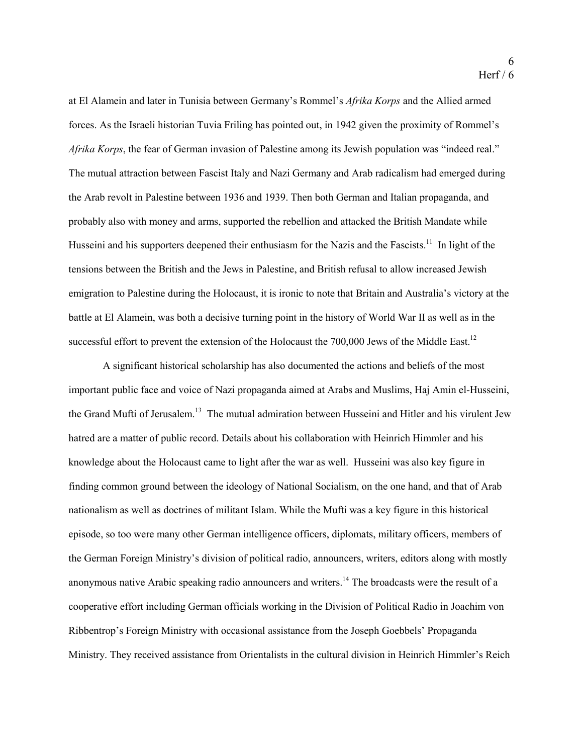at El Alamein and later in Tunisia between Germany's Rommel's Afrika Korps and the Allied armed forces. As the Israeli historian Tuvia Friling has pointed out, in 1942 given the proximity of Rommel's Afrika Korps, the fear of German invasion of Palestine among its Jewish population was "indeed real." The mutual attraction between Fascist Italy and Nazi Germany and Arab radicalism had emerged during the Arab revolt in Palestine between 1936 and 1939. Then both German and Italian propaganda, and probably also with money and arms, supported the rebellion and attacked the British Mandate while Husseini and his supporters deepened their enthusiasm for the Nazis and the Fascists.<sup>[11](#page-6-0)</sup> In light of the tensions between the British and the Jews in Palestine, and British refusal to allow increased Jewish emigration to Palestine during the Holocaust, it is ironic to note that Britain and Australia's victory at the battle at El Alamein, was both a decisive turning point in the history of World War II as well as in the successful effort to prevent the extension of the Holocaust the  $700,000$  Jews of the Middle East.<sup>[12](#page-6-0)</sup>

 A significant historical scholarship has also documented the actions and beliefs of the most important public face and voice of Nazi propaganda aimed at Arabs and Muslims, Haj Amin el-Husseini, the Grand Mufti of Jerusalem.<sup>[13](#page-6-0)</sup> The mutual admiration between Husseini and Hitler and his virulent Jew hatred are a matter of public record. Details about his collaboration with Heinrich Himmler and his knowledge about the Holocaust came to light after the war as well. Husseini was also key figure in finding common ground between the ideology of National Socialism, on the one hand, and that of Arab nationalism as well as doctrines of militant Islam. While the Mufti was a key figure in this historical episode, so too were many other German intelligence officers, diplomats, military officers, members of the German Foreign Ministry's division of political radio, announcers, writers, editors along with mostly anonymous native Arabic speaking radio announcers and writers.[14](#page-6-0) The broadcasts were the result of a cooperative effort including German officials working in the Division of Political Radio in Joachim von Ribbentrop's Foreign Ministry with occasional assistance from the Joseph Goebbels' Propaganda Ministry. They received assistance from Orientalists in the cultural division in Heinrich Himmler's Reich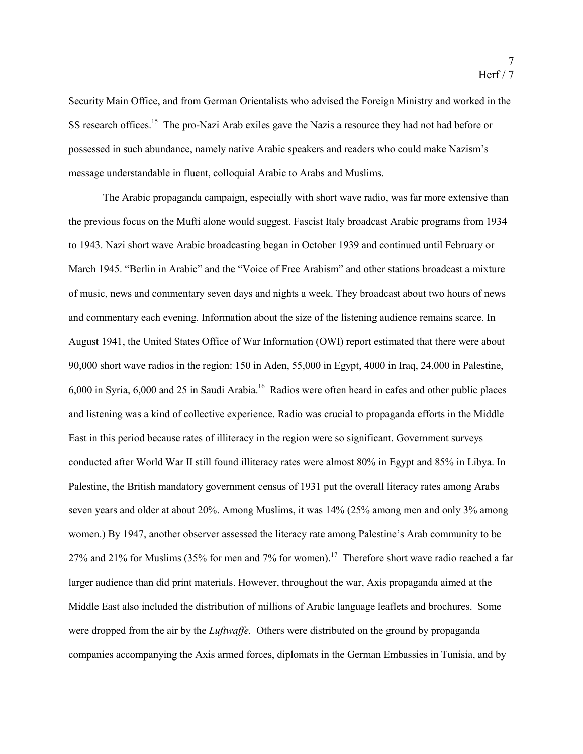Security Main Office, and from German Orientalists who advised the Foreign Ministry and worked in the SS research offices.<sup>[15](#page-6-0)</sup> The pro-Nazi Arab exiles gave the Nazis a resource they had not had before or possessed in such abundance, namely native Arabic speakers and readers who could make Nazism's message understandable in fluent, colloquial Arabic to Arabs and Muslims.

 The Arabic propaganda campaign, especially with short wave radio, was far more extensive than the previous focus on the Mufti alone would suggest. Fascist Italy broadcast Arabic programs from 1934 to 1943. Nazi short wave Arabic broadcasting began in October 1939 and continued until February or March 1945. "Berlin in Arabic" and the "Voice of Free Arabism" and other stations broadcast a mixture of music, news and commentary seven days and nights a week. They broadcast about two hours of news and commentary each evening. Information about the size of the listening audience remains scarce. In August 1941, the United States Office of War Information (OWI) report estimated that there were about 90,000 short wave radios in the region: 150 in Aden, 55,000 in Egypt, 4000 in Iraq, 24,000 in Palestine, 6,000 in Syria, 6,000 and 25 in Saudi Arabia.[16](#page-6-0) Radios were often heard in cafes and other public places and listening was a kind of collective experience. Radio was crucial to propaganda efforts in the Middle East in this period because rates of illiteracy in the region were so significant. Government surveys conducted after World War II still found illiteracy rates were almost 80% in Egypt and 85% in Libya. In Palestine, the British mandatory government census of 1931 put the overall literacy rates among Arabs seven years and older at about 20%. Among Muslims, it was 14% (25% among men and only 3% among women.) By 1947, another observer assessed the literacy rate among Palestine's Arab community to be 27% and 21% for Muslims (35% for men and 7% for women).[17](#page-6-0) Therefore short wave radio reached a far larger audience than did print materials. However, throughout the war, Axis propaganda aimed at the Middle East also included the distribution of millions of Arabic language leaflets and brochures. Some were dropped from the air by the *Luftwaffe*. Others were distributed on the ground by propaganda companies accompanying the Axis armed forces, diplomats in the German Embassies in Tunisia, and by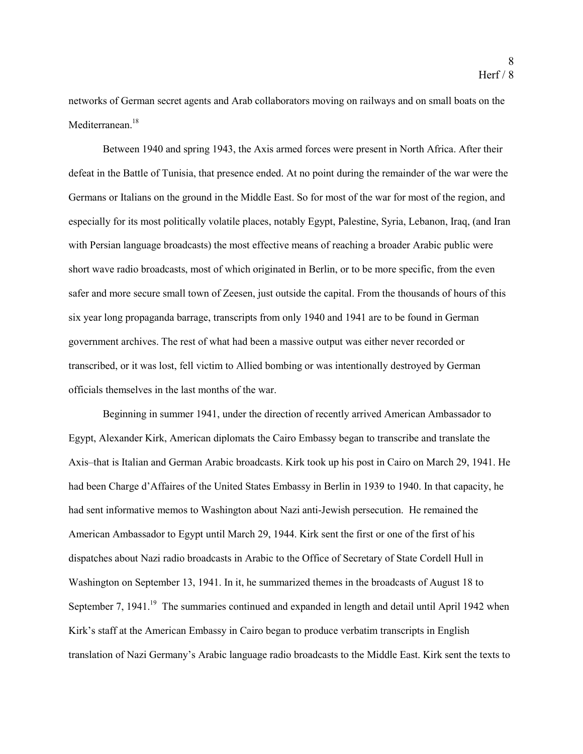networks of German secret agents and Arab collaborators moving on railways and on small boats on the Mediterranean.<sup>[18](#page-6-0)</sup>

 Between 1940 and spring 1943, the Axis armed forces were present in North Africa. After their defeat in the Battle of Tunisia, that presence ended. At no point during the remainder of the war were the Germans or Italians on the ground in the Middle East. So for most of the war for most of the region, and especially for its most politically volatile places, notably Egypt, Palestine, Syria, Lebanon, Iraq, (and Iran with Persian language broadcasts) the most effective means of reaching a broader Arabic public were short wave radio broadcasts, most of which originated in Berlin, or to be more specific, from the even safer and more secure small town of Zeesen, just outside the capital. From the thousands of hours of this six year long propaganda barrage, transcripts from only 1940 and 1941 are to be found in German government archives. The rest of what had been a massive output was either never recorded or transcribed, or it was lost, fell victim to Allied bombing or was intentionally destroyed by German officials themselves in the last months of the war.

 Beginning in summer 1941, under the direction of recently arrived American Ambassador to Egypt, Alexander Kirk, American diplomats the Cairo Embassy began to transcribe and translate the Axis–that is Italian and German Arabic broadcasts. Kirk took up his post in Cairo on March 29, 1941. He had been Charge d'Affaires of the United States Embassy in Berlin in 1939 to 1940. In that capacity, he had sent informative memos to Washington about Nazi anti-Jewish persecution. He remained the American Ambassador to Egypt until March 29, 1944. Kirk sent the first or one of the first of his dispatches about Nazi radio broadcasts in Arabic to the Office of Secretary of State Cordell Hull in Washington on September 13, 1941. In it, he summarized themes in the broadcasts of August 18 to September 7, [19](#page-6-0)41.<sup>19</sup> The summaries continued and expanded in length and detail until April 1942 when Kirk's staff at the American Embassy in Cairo began to produce verbatim transcripts in English translation of Nazi Germany's Arabic language radio broadcasts to the Middle East. Kirk sent the texts to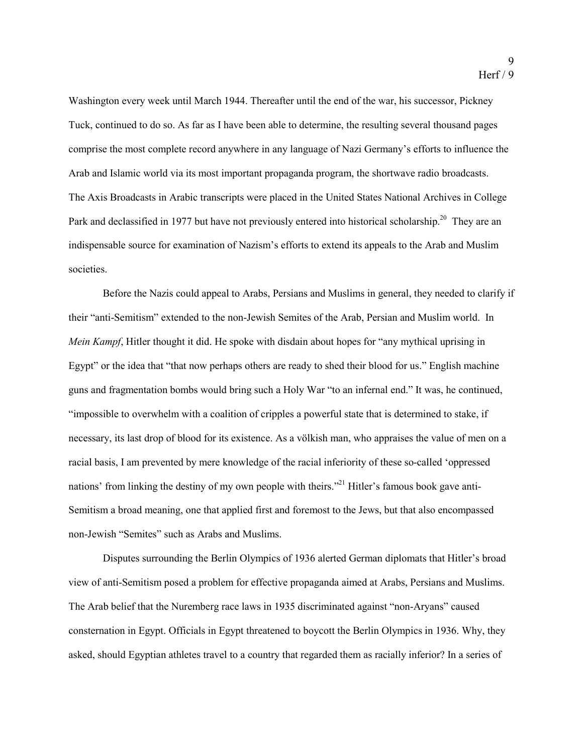Washington every week until March 1944. Thereafter until the end of the war, his successor, Pickney Tuck, continued to do so. As far as I have been able to determine, the resulting several thousand pages comprise the most complete record anywhere in any language of Nazi Germany's efforts to influence the Arab and Islamic world via its most important propaganda program, the shortwave radio broadcasts. The Axis Broadcasts in Arabic transcripts were placed in the United States National Archives in College Park and declassified in 1977 but have not previously entered into historical scholarship.<sup>[20](#page-6-0)</sup> They are an indispensable source for examination of Nazism's efforts to extend its appeals to the Arab and Muslim societies.

 Before the Nazis could appeal to Arabs, Persians and Muslims in general, they needed to clarify if their "anti-Semitism" extended to the non-Jewish Semites of the Arab, Persian and Muslim world. In Mein Kampf, Hitler thought it did. He spoke with disdain about hopes for "any mythical uprising in Egypt" or the idea that "that now perhaps others are ready to shed their blood for us." English machine guns and fragmentation bombs would bring such a Holy War "to an infernal end." It was, he continued, "impossible to overwhelm with a coalition of cripples a powerful state that is determined to stake, if necessary, its last drop of blood for its existence. As a völkish man, who appraises the value of men on a racial basis, I am prevented by mere knowledge of the racial inferiority of these so-called 'oppressed nations' from linking the destiny of my own people with theirs."<sup>[21](#page-6-0)</sup> Hitler's famous book gave anti-Semitism a broad meaning, one that applied first and foremost to the Jews, but that also encompassed non-Jewish "Semites" such as Arabs and Muslims.

 Disputes surrounding the Berlin Olympics of 1936 alerted German diplomats that Hitler's broad view of anti-Semitism posed a problem for effective propaganda aimed at Arabs, Persians and Muslims. The Arab belief that the Nuremberg race laws in 1935 discriminated against "non-Aryans" caused consternation in Egypt. Officials in Egypt threatened to boycott the Berlin Olympics in 1936. Why, they asked, should Egyptian athletes travel to a country that regarded them as racially inferior? In a series of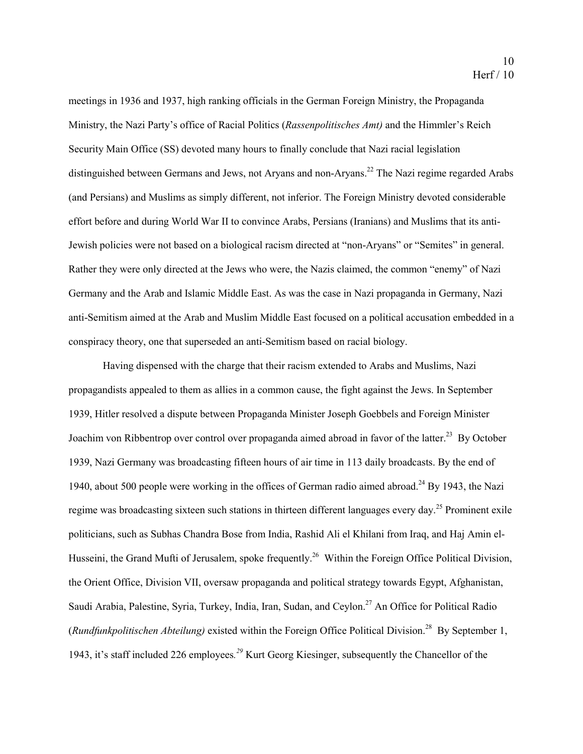<span id="page-11-0"></span>meetings in 1936 and 1937, high ranking officials in the German Foreign Ministry, the Propaganda Ministry, the Nazi Party's office of Racial Politics (Rassenpolitisches Amt) and the Himmler's Reich Security Main Office (SS) devoted many hours to finally conclude that Nazi racial legislation distinguished between Germans and Jews, not Aryans and non-Aryans.<sup>[22](#page-6-0)</sup> The Nazi regime regarded Arabs (and Persians) and Muslims as simply different, not inferior. The Foreign Ministry devoted considerable effort before and during World War II to convince Arabs, Persians (Iranians) and Muslims that its anti-Jewish policies were not based on a biological racism directed at "non-Aryans" or "Semites" in general. Rather they were only directed at the Jews who were, the Nazis claimed, the common "enemy" of Nazi Germany and the Arab and Islamic Middle East. As was the case in Nazi propaganda in Germany, Nazi anti-Semitism aimed at the Arab and Muslim Middle East focused on a political accusation embedded in a conspiracy theory, one that superseded an anti-Semitism based on racial biology.

 Having dispensed with the charge that their racism extended to Arabs and Muslims, Nazi propagandists appealed to them as allies in a common cause, the fight against the Jews. In September 1939, Hitler resolved a dispute between Propaganda Minister Joseph Goebbels and Foreign Minister Joachim von Ribbentrop over control over propaganda aimed abroad in favor of the latter.<sup>[23](#page-6-0)</sup> By October 1939, Nazi Germany was broadcasting fifteen hours of air time in 113 daily broadcasts. By the end of 1940, about 500 people were working in the offices of German radio aimed abroad.<sup>24</sup> By 1943, the Nazi regime was broadcasting sixteen such stations in thirteen different languages every day.<sup>25</sup> Prominent exile politicians, such as Subhas Chandra Bose from India, Rashid Ali el Khilani from Iraq, and Haj Amin el-Husseini, the Grand Mufti of Jerusalem, spoke frequently.<sup>26</sup> Within the Foreign Office Political Division, the Orient Office, Division VII, oversaw propaganda and political strategy towards Egypt, Afghanistan, Saudi Arabia, Palestine, Syria, Turkey, India, Iran, Sudan, and Ceylon.<sup>27</sup> An Office for Political Radio (Rundfunkpolitischen Abteilung) existed within the Foreign Office Political Division.<sup>28</sup> By September 1, 1943, it's staff included 226 employees.<sup>29</sup> Kurt Georg Kiesinger, subsequently the Chancellor of the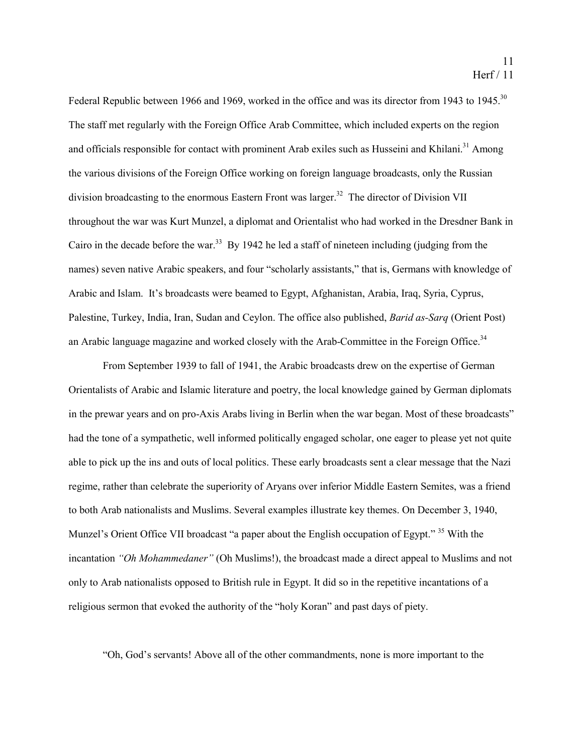Federal Republic between 1966 and 1969, worked in the office and was its director from 1943 to 1945.<sup>[30](#page-11-0)</sup> The staff met regularly with the Foreign Office Arab Committee, which included experts on the region and officials responsible for contact with prominent Arab exiles such as Husseini and Khilani.<sup>[31](#page-11-0)</sup> Among the various divisions of the Foreign Office working on foreign language broadcasts, only the Russian division broadcasting to the enormous Eastern Front was larger.<sup>[32](#page-11-0)</sup> The director of Division VII throughout the war was Kurt Munzel, a diplomat and Orientalist who had worked in the Dresdner Bank in Cairo in the decade before the war.<sup>[33](#page-11-0)</sup> By 1942 he led a staff of nineteen including (judging from the names) seven native Arabic speakers, and four "scholarly assistants," that is, Germans with knowledge of Arabic and Islam. It's broadcasts were beamed to Egypt, Afghanistan, Arabia, Iraq, Syria, Cyprus, Palestine, Turkey, India, Iran, Sudan and Ceylon. The office also published, Barid as-Sarq (Orient Post) an Arabic language magazine and worked closely with the Arab-Committee in the Foreign Office.<sup>[34](#page-11-0)</sup>

 From September 1939 to fall of 1941, the Arabic broadcasts drew on the expertise of German Orientalists of Arabic and Islamic literature and poetry, the local knowledge gained by German diplomats in the prewar years and on pro-Axis Arabs living in Berlin when the war began. Most of these broadcasts" had the tone of a sympathetic, well informed politically engaged scholar, one eager to please yet not quite able to pick up the ins and outs of local politics. These early broadcasts sent a clear message that the Nazi regime, rather than celebrate the superiority of Aryans over inferior Middle Eastern Semites, was a friend to both Arab nationalists and Muslims. Several examples illustrate key themes. On December 3, 1940, Munzel's Orient Office VII broadcast "a paper about the English occupation of Egypt." <sup>[35](#page-11-0)</sup> With the incantation "Oh Mohammedaner" (Oh Muslims!), the broadcast made a direct appeal to Muslims and not only to Arab nationalists opposed to British rule in Egypt. It did so in the repetitive incantations of a religious sermon that evoked the authority of the "holy Koran" and past days of piety.

"Oh, God's servants! Above all of the other commandments, none is more important to the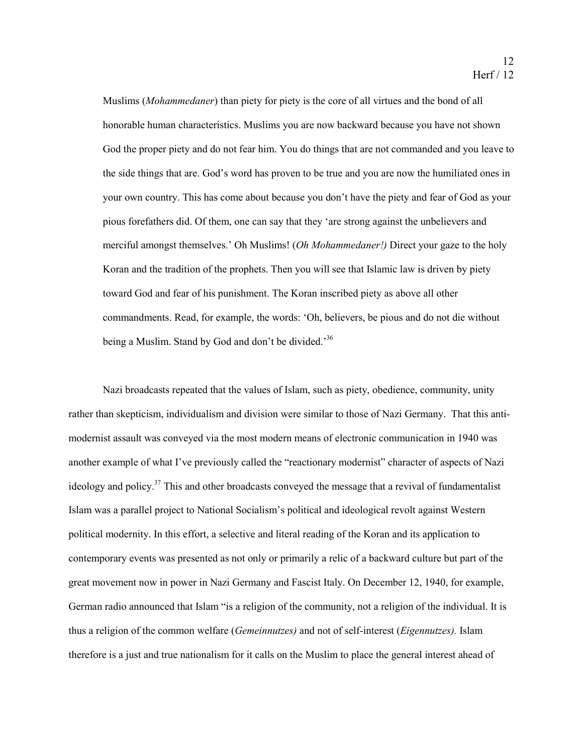Muslims (*Mohammedaner*) than piety for piety is the core of all virtues and the bond of all honorable human characteristics. Muslims you are now backward because you have not shown God the proper piety and do not fear him. You do things that are not commanded and you leave to the side things that are. God's word has proven to be true and you are now the humiliated ones in your own country. This has come about because you don't have the piety and fear of God as your pious forefathers did. Of them, one can say that they 'are strong against the unbelievers and merciful amongst themselves.' Oh Muslims! (Oh Mohammedaner!) Direct your gaze to the holy Koran and the tradition of the prophets. Then you will see that Islamic law is driven by piety toward God and fear of his punishment. The Koran inscribed piety as above all other commandments. Read, for example, the words: 'Oh, believers, be pious and do not die without being a Muslim. Stand by God and don't be divided.<sup>[36](#page-11-0)</sup>

 Nazi broadcasts repeated that the values of Islam, such as piety, obedience, community, unity rather than skepticism, individualism and division were similar to those of Nazi Germany. That this antimodernist assault was conveyed via the most modern means of electronic communication in 1940 was another example of what I've previously called the "reactionary modernist" character of aspects of Nazi ideology and policy.<sup>[37](#page-11-0)</sup> This and other broadcasts conveyed the message that a revival of fundamentalist Islam was a parallel project to National Socialism's political and ideological revolt against Western political modernity. In this effort, a selective and literal reading of the Koran and its application to contemporary events was presented as not only or primarily a relic of a backward culture but part of the great movement now in power in Nazi Germany and Fascist Italy. On December 12, 1940, for example, German radio announced that Islam "is a religion of the community, not a religion of the individual. It is thus a religion of the common welfare *(Gemeinnutzes)* and not of self-interest *(Eigennutzes)*. Islam therefore is a just and true nationalism for it calls on the Muslim to place the general interest ahead of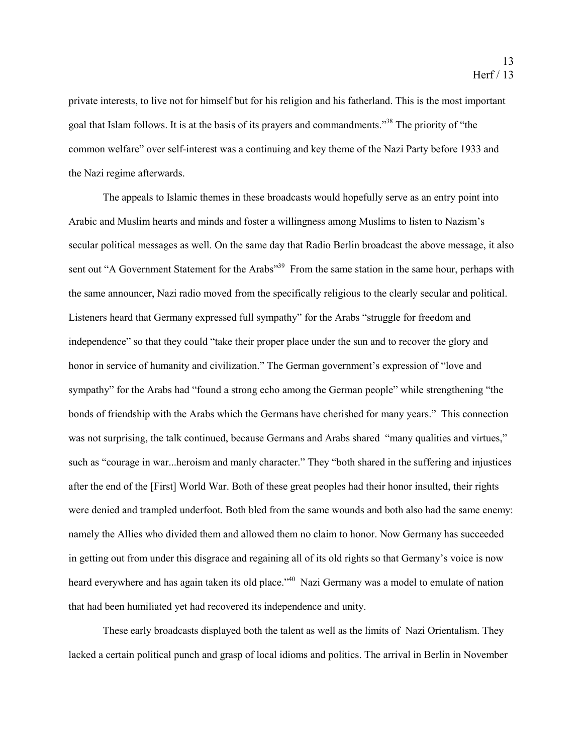private interests, to live not for himself but for his religion and his fatherland. This is the most important goal that Islam follows. It is at the basis of its prayers and commandments."[38](#page-11-0) The priority of "the common welfare" over self-interest was a continuing and key theme of the Nazi Party before 1933 and the Nazi regime afterwards.

 The appeals to Islamic themes in these broadcasts would hopefully serve as an entry point into Arabic and Muslim hearts and minds and foster a willingness among Muslims to listen to Nazism's secular political messages as well. On the same day that Radio Berlin broadcast the above message, it also sent out "A Government Statement for the Arabs"<sup>[39](#page-11-0)</sup> From the same station in the same hour, perhaps with the same announcer, Nazi radio moved from the specifically religious to the clearly secular and political. Listeners heard that Germany expressed full sympathy" for the Arabs "struggle for freedom and independence" so that they could "take their proper place under the sun and to recover the glory and honor in service of humanity and civilization." The German government's expression of "love and sympathy" for the Arabs had "found a strong echo among the German people" while strengthening "the bonds of friendship with the Arabs which the Germans have cherished for many years." This connection was not surprising, the talk continued, because Germans and Arabs shared "many qualities and virtues," such as "courage in war...heroism and manly character." They "both shared in the suffering and injustices after the end of the [First] World War. Both of these great peoples had their honor insulted, their rights were denied and trampled underfoot. Both bled from the same wounds and both also had the same enemy: namely the Allies who divided them and allowed them no claim to honor. Now Germany has succeeded in getting out from under this disgrace and regaining all of its old rights so that Germany's voice is now heard everywhere and has again taken its old place."<sup>[40](#page-11-0)</sup> Nazi Germany was a model to emulate of nation that had been humiliated yet had recovered its independence and unity.

 These early broadcasts displayed both the talent as well as the limits of Nazi Orientalism. They lacked a certain political punch and grasp of local idioms and politics. The arrival in Berlin in November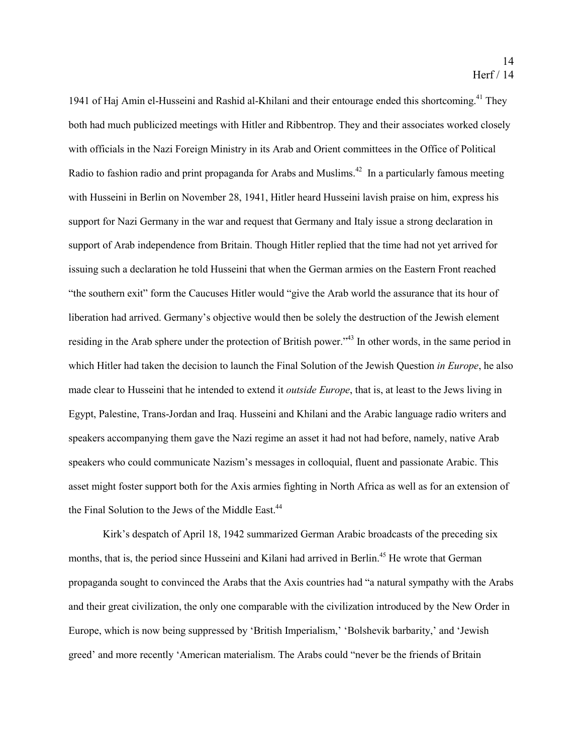<span id="page-15-0"></span>1941 of Haj Amin el-Husseini and Rashid al-Khilani and their entourage ended this shortcoming.[41](#page-11-0) They both had much publicized meetings with Hitler and Ribbentrop. They and their associates worked closely with officials in the Nazi Foreign Ministry in its Arab and Orient committees in the Office of Political Radio to fashion radio and print propaganda for Arabs and Muslims.<sup>42</sup> In a particularly famous meeting with Husseini in Berlin on November 28, 1941, Hitler heard Husseini lavish praise on him, express his support for Nazi Germany in the war and request that Germany and Italy issue a strong declaration in support of Arab independence from Britain. Though Hitler replied that the time had not yet arrived for issuing such a declaration he told Husseini that when the German armies on the Eastern Front reached "the southern exit" form the Caucuses Hitler would "give the Arab world the assurance that its hour of liberation had arrived. Germany's objective would then be solely the destruction of the Jewish element residing in the Arab sphere under the protection of British power."<sup>43</sup> In other words, in the same period in which Hitler had taken the decision to launch the Final Solution of the Jewish Question in Europe, he also made clear to Husseini that he intended to extend it *outside Europe*, that is, at least to the Jews living in Egypt, Palestine, Trans-Jordan and Iraq. Husseini and Khilani and the Arabic language radio writers and speakers accompanying them gave the Nazi regime an asset it had not had before, namely, native Arab speakers who could communicate Nazism's messages in colloquial, fluent and passionate Arabic. This asset might foster support both for the Axis armies fighting in North Africa as well as for an extension of the Final Solution to the Jews of the Middle East.<sup>44</sup>

 Kirk's despatch of April 18, 1942 summarized German Arabic broadcasts of the preceding six months, that is, the period since Husseini and Kilani had arrived in Berlin.<sup>45</sup> He wrote that German propaganda sought to convinced the Arabs that the Axis countries had "a natural sympathy with the Arabs and their great civilization, the only one comparable with the civilization introduced by the New Order in Europe, which is now being suppressed by 'British Imperialism,' 'Bolshevik barbarity,' and 'Jewish greed' and more recently 'American materialism. The Arabs could "never be the friends of Britain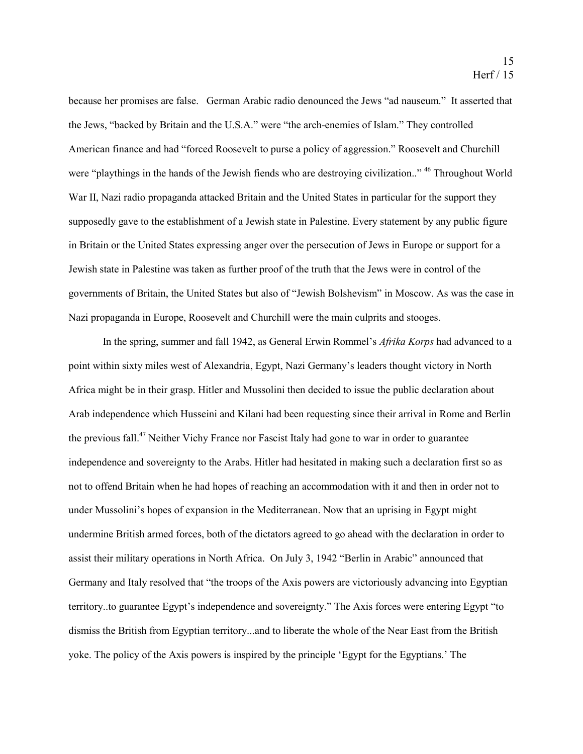because her promises are false. German Arabic radio denounced the Jews "ad nauseum." It asserted that the Jews, "backed by Britain and the U.S.A." were "the arch-enemies of Islam." They controlled American finance and had "forced Roosevelt to purse a policy of aggression." Roosevelt and Churchill were "playthings in the hands of the Jewish fiends who are destroying civilization.." [46](#page-15-0) Throughout World War II, Nazi radio propaganda attacked Britain and the United States in particular for the support they supposedly gave to the establishment of a Jewish state in Palestine. Every statement by any public figure in Britain or the United States expressing anger over the persecution of Jews in Europe or support for a Jewish state in Palestine was taken as further proof of the truth that the Jews were in control of the governments of Britain, the United States but also of "Jewish Bolshevism" in Moscow. As was the case in Nazi propaganda in Europe, Roosevelt and Churchill were the main culprits and stooges.

In the spring, summer and fall 1942, as General Erwin Rommel's *Afrika Korps* had advanced to a point within sixty miles west of Alexandria, Egypt, Nazi Germany's leaders thought victory in North Africa might be in their grasp. Hitler and Mussolini then decided to issue the public declaration about Arab independence which Husseini and Kilani had been requesting since their arrival in Rome and Berlin the previous fall.[47](#page-15-0) Neither Vichy France nor Fascist Italy had gone to war in order to guarantee independence and sovereignty to the Arabs. Hitler had hesitated in making such a declaration first so as not to offend Britain when he had hopes of reaching an accommodation with it and then in order not to under Mussolini's hopes of expansion in the Mediterranean. Now that an uprising in Egypt might undermine British armed forces, both of the dictators agreed to go ahead with the declaration in order to assist their military operations in North Africa. On July 3, 1942 "Berlin in Arabic" announced that Germany and Italy resolved that "the troops of the Axis powers are victoriously advancing into Egyptian territory..to guarantee Egypt's independence and sovereignty." The Axis forces were entering Egypt "to dismiss the British from Egyptian territory...and to liberate the whole of the Near East from the British yoke. The policy of the Axis powers is inspired by the principle 'Egypt for the Egyptians.' The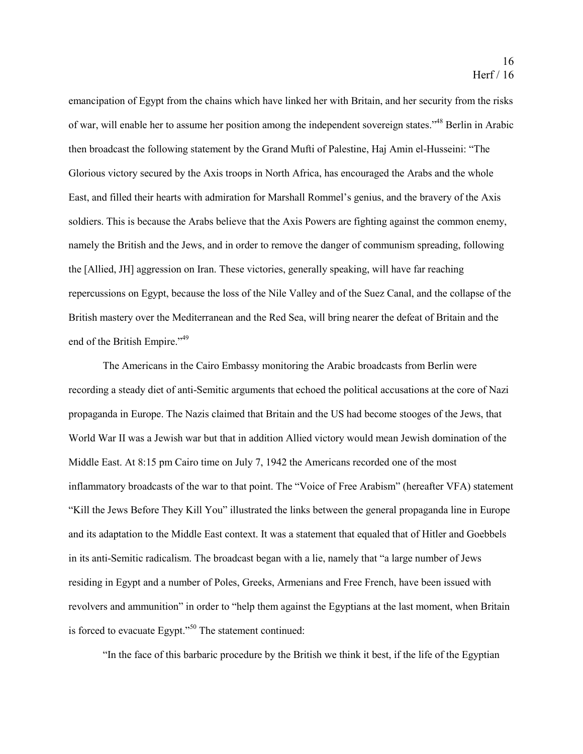emancipation of Egypt from the chains which have linked her with Britain, and her security from the risks of war, will enable her to assume her position among the independent sovereign states."[48](#page-15-0) Berlin in Arabic then broadcast the following statement by the Grand Mufti of Palestine, Haj Amin el-Husseini: "The Glorious victory secured by the Axis troops in North Africa, has encouraged the Arabs and the whole East, and filled their hearts with admiration for Marshall Rommel's genius, and the bravery of the Axis soldiers. This is because the Arabs believe that the Axis Powers are fighting against the common enemy, namely the British and the Jews, and in order to remove the danger of communism spreading, following the [Allied, JH] aggression on Iran. These victories, generally speaking, will have far reaching repercussions on Egypt, because the loss of the Nile Valley and of the Suez Canal, and the collapse of the British mastery over the Mediterranean and the Red Sea, will bring nearer the defeat of Britain and the end of the British Empire."[49](#page-15-0)

 The Americans in the Cairo Embassy monitoring the Arabic broadcasts from Berlin were recording a steady diet of anti-Semitic arguments that echoed the political accusations at the core of Nazi propaganda in Europe. The Nazis claimed that Britain and the US had become stooges of the Jews, that World War II was a Jewish war but that in addition Allied victory would mean Jewish domination of the Middle East. At 8:15 pm Cairo time on July 7, 1942 the Americans recorded one of the most inflammatory broadcasts of the war to that point. The "Voice of Free Arabism" (hereafter VFA) statement "Kill the Jews Before They Kill You" illustrated the links between the general propaganda line in Europe and its adaptation to the Middle East context. It was a statement that equaled that of Hitler and Goebbels in its anti-Semitic radicalism. The broadcast began with a lie, namely that "a large number of Jews residing in Egypt and a number of Poles, Greeks, Armenians and Free French, have been issued with revolvers and ammunition" in order to "help them against the Egyptians at the last moment, when Britain is forced to evacuate Egypt."[50](#page-15-0) The statement continued:

"In the face of this barbaric procedure by the British we think it best, if the life of the Egyptian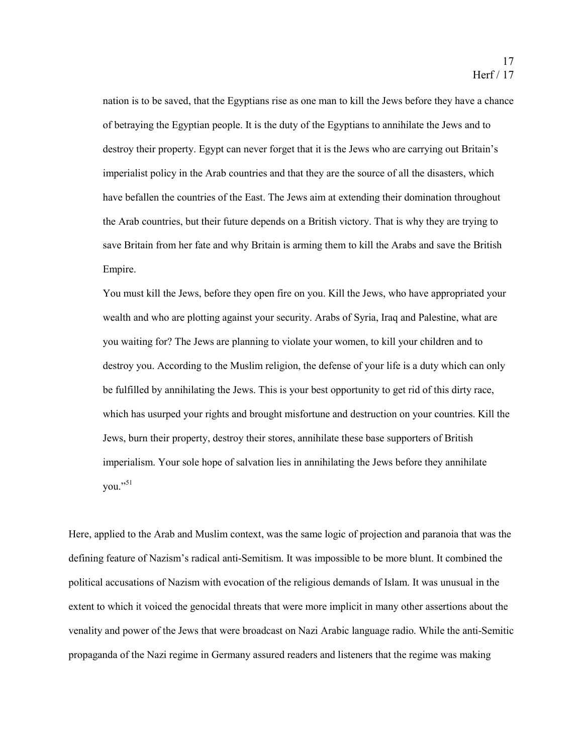nation is to be saved, that the Egyptians rise as one man to kill the Jews before they have a chance of betraying the Egyptian people. It is the duty of the Egyptians to annihilate the Jews and to destroy their property. Egypt can never forget that it is the Jews who are carrying out Britain's imperialist policy in the Arab countries and that they are the source of all the disasters, which have befallen the countries of the East. The Jews aim at extending their domination throughout the Arab countries, but their future depends on a British victory. That is why they are trying to save Britain from her fate and why Britain is arming them to kill the Arabs and save the British Empire.

You must kill the Jews, before they open fire on you. Kill the Jews, who have appropriated your wealth and who are plotting against your security. Arabs of Syria, Iraq and Palestine, what are you waiting for? The Jews are planning to violate your women, to kill your children and to destroy you. According to the Muslim religion, the defense of your life is a duty which can only be fulfilled by annihilating the Jews. This is your best opportunity to get rid of this dirty race, which has usurped your rights and brought misfortune and destruction on your countries. Kill the Jews, burn their property, destroy their stores, annihilate these base supporters of British imperialism. Your sole hope of salvation lies in annihilating the Jews before they annihilate you."[51](#page-15-0)

Here, applied to the Arab and Muslim context, was the same logic of projection and paranoia that was the defining feature of Nazism's radical anti-Semitism. It was impossible to be more blunt. It combined the political accusations of Nazism with evocation of the religious demands of Islam. It was unusual in the extent to which it voiced the genocidal threats that were more implicit in many other assertions about the venality and power of the Jews that were broadcast on Nazi Arabic language radio. While the anti-Semitic propaganda of the Nazi regime in Germany assured readers and listeners that the regime was making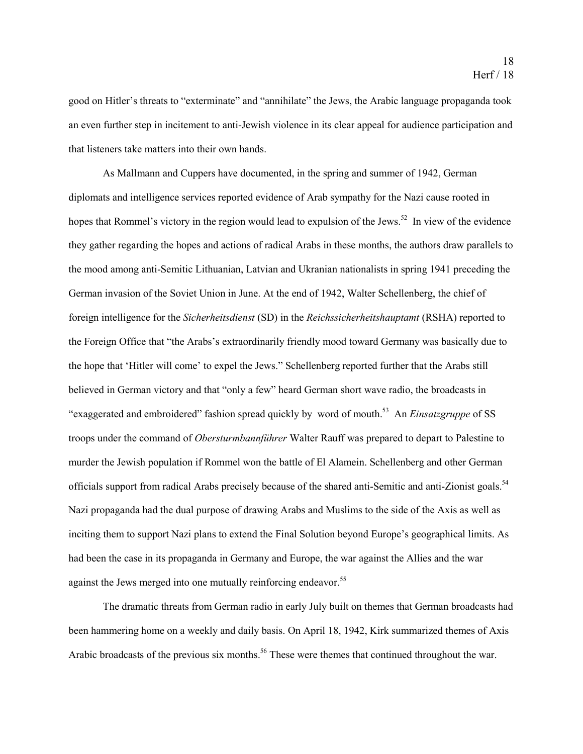good on Hitler's threats to "exterminate" and "annihilate" the Jews, the Arabic language propaganda took an even further step in incitement to anti-Jewish violence in its clear appeal for audience participation and that listeners take matters into their own hands.

 As Mallmann and Cuppers have documented, in the spring and summer of 1942, German diplomats and intelligence services reported evidence of Arab sympathy for the Nazi cause rooted in hopes that Rommel's victory in the region would lead to expulsion of the Jews.<sup>[52](#page-15-0)</sup> In view of the evidence they gather regarding the hopes and actions of radical Arabs in these months, the authors draw parallels to the mood among anti-Semitic Lithuanian, Latvian and Ukranian nationalists in spring 1941 preceding the German invasion of the Soviet Union in June. At the end of 1942, Walter Schellenberg, the chief of foreign intelligence for the Sicherheitsdienst (SD) in the Reichssicherheitshauptamt (RSHA) reported to the Foreign Office that "the Arabs's extraordinarily friendly mood toward Germany was basically due to the hope that 'Hitler will come' to expel the Jews." Schellenberg reported further that the Arabs still believed in German victory and that "only a few" heard German short wave radio, the broadcasts in "exaggerated and embroidered" fashion spread quickly by word of mouth.<sup>[53](#page-15-0)</sup> An *Einsatzgruppe* of SS troops under the command of Obersturmbannführer Walter Rauff was prepared to depart to Palestine to murder the Jewish population if Rommel won the battle of El Alamein. Schellenberg and other German officials support from radical Arabs precisely because of the shared anti-Semitic and anti-Zionist goals.<sup>[54](#page-15-0)</sup> Nazi propaganda had the dual purpose of drawing Arabs and Muslims to the side of the Axis as well as inciting them to support Nazi plans to extend the Final Solution beyond Europe's geographical limits. As had been the case in its propaganda in Germany and Europe, the war against the Allies and the war against the Jews merged into one mutually reinforcing endeavor.<sup>[55](#page-15-0)</sup>

 The dramatic threats from German radio in early July built on themes that German broadcasts had been hammering home on a weekly and daily basis. On April 18, 1942, Kirk summarized themes of Axis Arabic broadcasts of the previous six months.<sup>[56](#page-15-0)</sup> These were themes that continued throughout the war.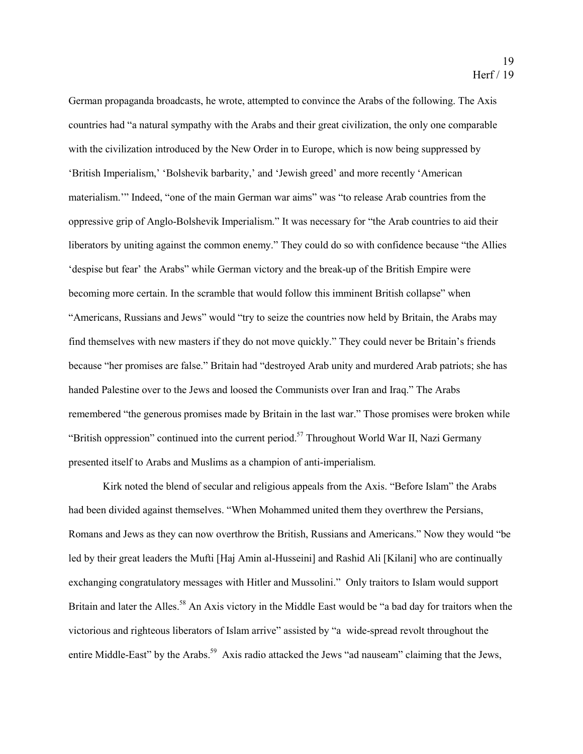<span id="page-20-0"></span>German propaganda broadcasts, he wrote, attempted to convince the Arabs of the following. The Axis countries had "a natural sympathy with the Arabs and their great civilization, the only one comparable with the civilization introduced by the New Order in to Europe, which is now being suppressed by 'British Imperialism,' 'Bolshevik barbarity,' and 'Jewish greed' and more recently 'American materialism.'" Indeed, "one of the main German war aims" was "to release Arab countries from the oppressive grip of Anglo-Bolshevik Imperialism." It was necessary for "the Arab countries to aid their liberators by uniting against the common enemy." They could do so with confidence because "the Allies 'despise but fear' the Arabs" while German victory and the break-up of the British Empire were becoming more certain. In the scramble that would follow this imminent British collapse" when "Americans, Russians and Jews" would "try to seize the countries now held by Britain, the Arabs may find themselves with new masters if they do not move quickly." They could never be Britain's friends because "her promises are false." Britain had "destroyed Arab unity and murdered Arab patriots; she has handed Palestine over to the Jews and loosed the Communists over Iran and Iraq." The Arabs remembered "the generous promises made by Britain in the last war." Those promises were broken while "British oppression" continued into the current period.<sup>57</sup> Throughout World War II, Nazi Germany presented itself to Arabs and Muslims as a champion of anti-imperialism.

 Kirk noted the blend of secular and religious appeals from the Axis. "Before Islam" the Arabs had been divided against themselves. "When Mohammed united them they overthrew the Persians, Romans and Jews as they can now overthrow the British, Russians and Americans." Now they would "be led by their great leaders the Mufti [Haj Amin al-Husseini] and Rashid Ali [Kilani] who are continually exchanging congratulatory messages with Hitler and Mussolini." Only traitors to Islam would support Britain and later the Alles.<sup>58</sup> An Axis victory in the Middle East would be "a bad day for traitors when the victorious and righteous liberators of Islam arrive" assisted by "a wide-spread revolt throughout the entire Middle-East" by the Arabs.<sup>59</sup> Axis radio attacked the Jews "ad nauseam" claiming that the Jews,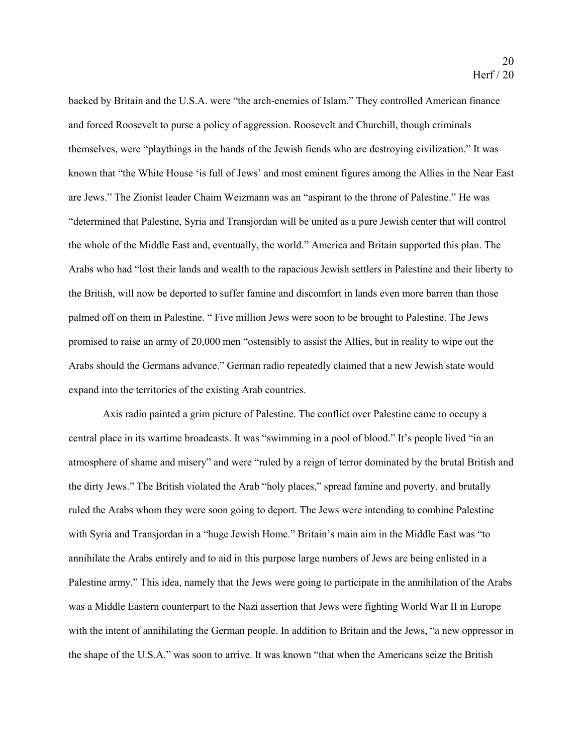backed by Britain and the U.S.A. were "the arch-enemies of Islam." They controlled American finance and forced Roosevelt to purse a policy of aggression. Roosevelt and Churchill, though criminals themselves, were "playthings in the hands of the Jewish fiends who are destroying civilization." It was known that "the White House 'is full of Jews' and most eminent figures among the Allies in the Near East are Jews." The Zionist leader Chaim Weizmann was an "aspirant to the throne of Palestine." He was "determined that Palestine, Syria and Transjordan will be united as a pure Jewish center that will control the whole of the Middle East and, eventually, the world." America and Britain supported this plan. The Arabs who had "lost their lands and wealth to the rapacious Jewish settlers in Palestine and their liberty to the British, will now be deported to suffer famine and discomfort in lands even more barren than those palmed off on them in Palestine. " Five million Jews were soon to be brought to Palestine. The Jews promised to raise an army of 20,000 men "ostensibly to assist the Allies, but in reality to wipe out the Arabs should the Germans advance." German radio repeatedly claimed that a new Jewish state would expand into the territories of the existing Arab countries.

 Axis radio painted a grim picture of Palestine. The conflict over Palestine came to occupy a central place in its wartime broadcasts. It was "swimming in a pool of blood." It's people lived "in an atmosphere of shame and misery" and were "ruled by a reign of terror dominated by the brutal British and the dirty Jews." The British violated the Arab "holy places," spread famine and poverty, and brutally ruled the Arabs whom they were soon going to deport. The Jews were intending to combine Palestine with Syria and Transjordan in a "huge Jewish Home." Britain's main aim in the Middle East was "to annihilate the Arabs entirely and to aid in this purpose large numbers of Jews are being enlisted in a Palestine army." This idea, namely that the Jews were going to participate in the annihilation of the Arabs was a Middle Eastern counterpart to the Nazi assertion that Jews were fighting World War II in Europe with the intent of annihilating the German people. In addition to Britain and the Jews, "a new oppressor in the shape of the U.S.A." was soon to arrive. It was known "that when the Americans seize the British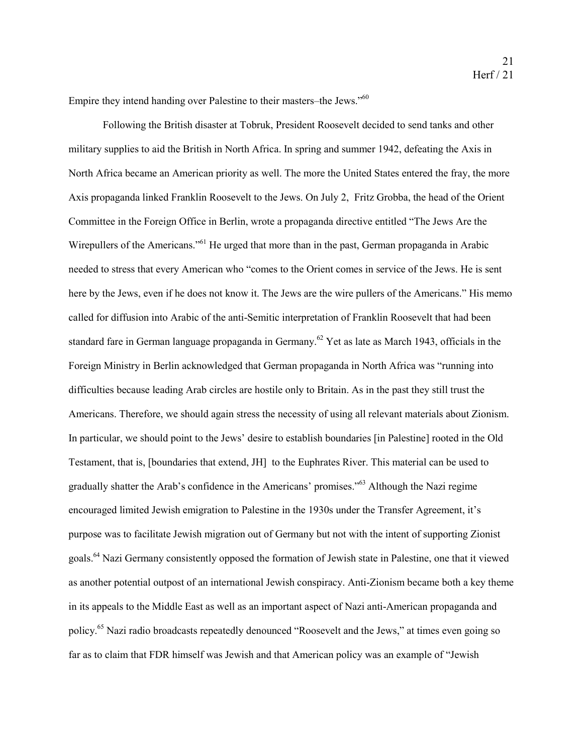Empire they intend handing over Palestine to their masters–the Jews."<sup>[60](#page-20-0)</sup>

 Following the British disaster at Tobruk, President Roosevelt decided to send tanks and other military supplies to aid the British in North Africa. In spring and summer 1942, defeating the Axis in North Africa became an American priority as well. The more the United States entered the fray, the more Axis propaganda linked Franklin Roosevelt to the Jews. On July 2, Fritz Grobba, the head of the Orient Committee in the Foreign Office in Berlin, wrote a propaganda directive entitled "The Jews Are the Wirepullers of the Americans."<sup>[61](#page-20-0)</sup> He urged that more than in the past, German propaganda in Arabic needed to stress that every American who "comes to the Orient comes in service of the Jews. He is sent here by the Jews, even if he does not know it. The Jews are the wire pullers of the Americans." His memo called for diffusion into Arabic of the anti-Semitic interpretation of Franklin Roosevelt that had been standard fare in German language propaganda in Germany.<sup>[62](#page-20-0)</sup> Yet as late as March 1943, officials in the Foreign Ministry in Berlin acknowledged that German propaganda in North Africa was "running into difficulties because leading Arab circles are hostile only to Britain. As in the past they still trust the Americans. Therefore, we should again stress the necessity of using all relevant materials about Zionism. In particular, we should point to the Jews' desire to establish boundaries [in Palestine] rooted in the Old Testament, that is, [boundaries that extend, JH] to the Euphrates River. This material can be used to gradually shatter the Arab's confidence in the Americans' promises."<sup>[63](#page-20-0)</sup> Although the Nazi regime encouraged limited Jewish emigration to Palestine in the 1930s under the Transfer Agreement, it's purpose was to facilitate Jewish migration out of Germany but not with the intent of supporting Zionist goals.[64](#page-20-0) Nazi Germany consistently opposed the formation of Jewish state in Palestine, one that it viewed as another potential outpost of an international Jewish conspiracy. Anti-Zionism became both a key theme in its appeals to the Middle East as well as an important aspect of Nazi anti-American propaganda and policy.[65](#page-20-0) Nazi radio broadcasts repeatedly denounced "Roosevelt and the Jews," at times even going so far as to claim that FDR himself was Jewish and that American policy was an example of "Jewish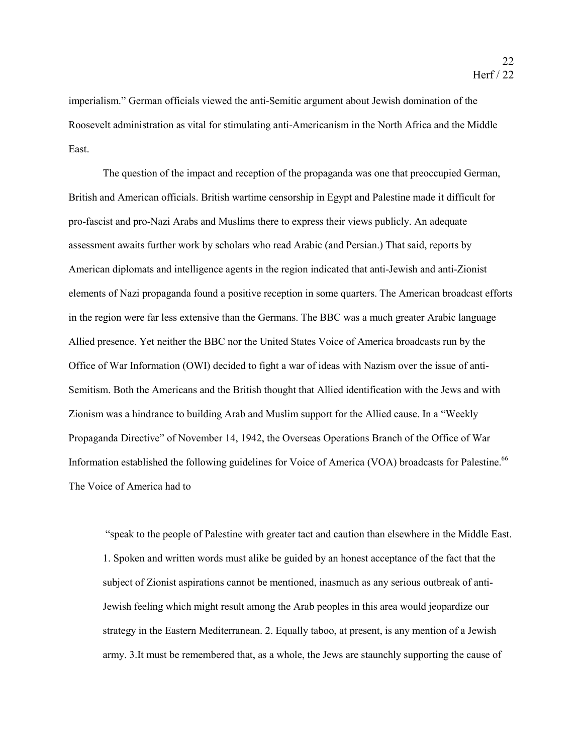imperialism." German officials viewed the anti-Semitic argument about Jewish domination of the Roosevelt administration as vital for stimulating anti-Americanism in the North Africa and the Middle East.

 The question of the impact and reception of the propaganda was one that preoccupied German, British and American officials. British wartime censorship in Egypt and Palestine made it difficult for pro-fascist and pro-Nazi Arabs and Muslims there to express their views publicly. An adequate assessment awaits further work by scholars who read Arabic (and Persian.) That said, reports by American diplomats and intelligence agents in the region indicated that anti-Jewish and anti-Zionist elements of Nazi propaganda found a positive reception in some quarters. The American broadcast efforts in the region were far less extensive than the Germans. The BBC was a much greater Arabic language Allied presence. Yet neither the BBC nor the United States Voice of America broadcasts run by the Office of War Information (OWI) decided to fight a war of ideas with Nazism over the issue of anti-Semitism. Both the Americans and the British thought that Allied identification with the Jews and with Zionism was a hindrance to building Arab and Muslim support for the Allied cause. In a "Weekly Propaganda Directive" of November 14, 1942, the Overseas Operations Branch of the Office of War Information established the following guidelines for Voice of America (VOA) broadcasts for Palestine.<sup>[66](#page-20-0)</sup> The Voice of America had to

 "speak to the people of Palestine with greater tact and caution than elsewhere in the Middle East. 1. Spoken and written words must alike be guided by an honest acceptance of the fact that the subject of Zionist aspirations cannot be mentioned, inasmuch as any serious outbreak of anti-Jewish feeling which might result among the Arab peoples in this area would jeopardize our strategy in the Eastern Mediterranean. 2. Equally taboo, at present, is any mention of a Jewish army. 3.It must be remembered that, as a whole, the Jews are staunchly supporting the cause of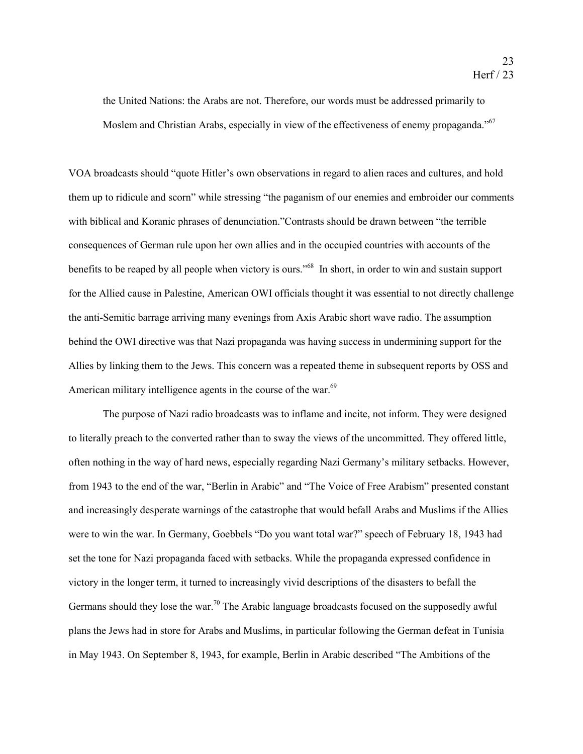the United Nations: the Arabs are not. Therefore, our words must be addressed primarily to Moslem and Christian Arabs, especially in view of the effectiveness of enemy propaganda."<sup>[67](#page-20-0)</sup>

VOA broadcasts should "quote Hitler's own observations in regard to alien races and cultures, and hold them up to ridicule and scorn" while stressing "the paganism of our enemies and embroider our comments with biblical and Koranic phrases of denunciation."Contrasts should be drawn between "the terrible consequences of German rule upon her own allies and in the occupied countries with accounts of the benefits to be reaped by all people when victory is ours."<sup>[68](#page-20-0)</sup> In short, in order to win and sustain support for the Allied cause in Palestine, American OWI officials thought it was essential to not directly challenge the anti-Semitic barrage arriving many evenings from Axis Arabic short wave radio. The assumption behind the OWI directive was that Nazi propaganda was having success in undermining support for the Allies by linking them to the Jews. This concern was a repeated theme in subsequent reports by OSS and American military intelligence agents in the course of the war. $69$ 

 The purpose of Nazi radio broadcasts was to inflame and incite, not inform. They were designed to literally preach to the converted rather than to sway the views of the uncommitted. They offered little, often nothing in the way of hard news, especially regarding Nazi Germany's military setbacks. However, from 1943 to the end of the war, "Berlin in Arabic" and "The Voice of Free Arabism" presented constant and increasingly desperate warnings of the catastrophe that would befall Arabs and Muslims if the Allies were to win the war. In Germany, Goebbels "Do you want total war?" speech of February 18, 1943 had set the tone for Nazi propaganda faced with setbacks. While the propaganda expressed confidence in victory in the longer term, it turned to increasingly vivid descriptions of the disasters to befall the Germans should they lose the war.<sup>[70](#page-20-0)</sup> The Arabic language broadcasts focused on the supposedly awful plans the Jews had in store for Arabs and Muslims, in particular following the German defeat in Tunisia in May 1943. On September 8, 1943, for example, Berlin in Arabic described "The Ambitions of the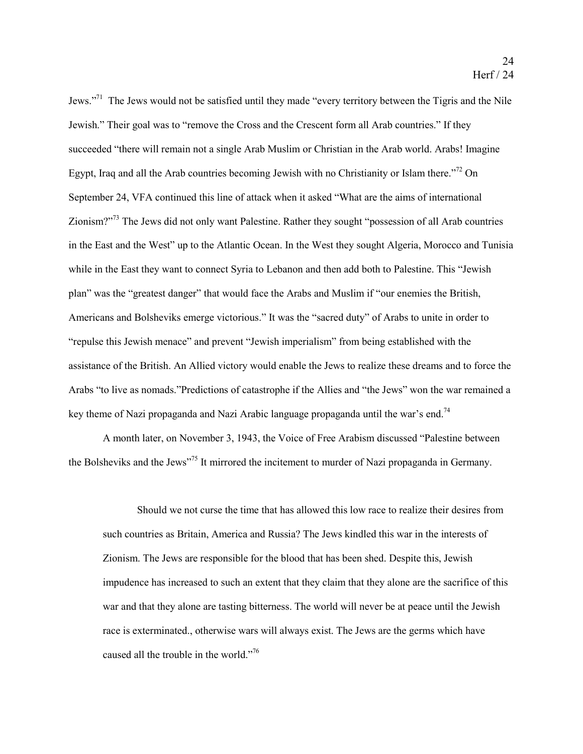Jews."[71](#page-20-0) The Jews would not be satisfied until they made "every territory between the Tigris and the Nile Jewish." Their goal was to "remove the Cross and the Crescent form all Arab countries." If they succeeded "there will remain not a single Arab Muslim or Christian in the Arab world. Arabs! Imagine Egypt, Iraq and all the Arab countries becoming Jewish with no Christianity or Islam there."<sup>[72](#page-20-0)</sup> On September 24, VFA continued this line of attack when it asked "What are the aims of international Zionism?"[73](#page-20-0) The Jews did not only want Palestine. Rather they sought "possession of all Arab countries in the East and the West" up to the Atlantic Ocean. In the West they sought Algeria, Morocco and Tunisia while in the East they want to connect Syria to Lebanon and then add both to Palestine. This "Jewish plan" was the "greatest danger" that would face the Arabs and Muslim if "our enemies the British, Americans and Bolsheviks emerge victorious." It was the "sacred duty" of Arabs to unite in order to "repulse this Jewish menace" and prevent "Jewish imperialism" from being established with the assistance of the British. An Allied victory would enable the Jews to realize these dreams and to force the Arabs "to live as nomads."Predictions of catastrophe if the Allies and "the Jews" won the war remained a key theme of Nazi propaganda and Nazi Arabic language propaganda until the war's end.<sup>[74](#page-20-0)</sup>

 A month later, on November 3, 1943, the Voice of Free Arabism discussed "Palestine between the Bolsheviks and the Jews"[75](#page-20-0) It mirrored the incitement to murder of Nazi propaganda in Germany.

 Should we not curse the time that has allowed this low race to realize their desires from such countries as Britain, America and Russia? The Jews kindled this war in the interests of Zionism. The Jews are responsible for the blood that has been shed. Despite this, Jewish impudence has increased to such an extent that they claim that they alone are the sacrifice of this war and that they alone are tasting bitterness. The world will never be at peace until the Jewish race is exterminated., otherwise wars will always exist. The Jews are the germs which have caused all the trouble in the world."<sup>[76](#page-20-0)</sup>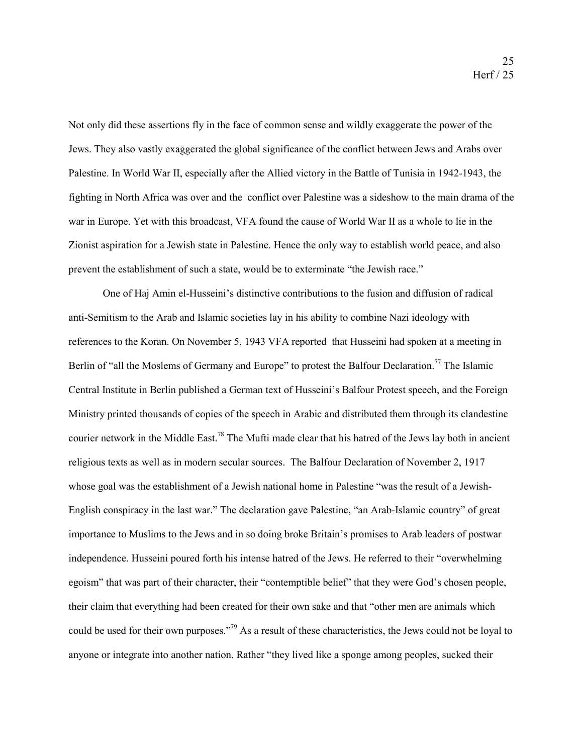Not only did these assertions fly in the face of common sense and wildly exaggerate the power of the Jews. They also vastly exaggerated the global significance of the conflict between Jews and Arabs over Palestine. In World War II, especially after the Allied victory in the Battle of Tunisia in 1942-1943, the fighting in North Africa was over and the conflict over Palestine was a sideshow to the main drama of the war in Europe. Yet with this broadcast, VFA found the cause of World War II as a whole to lie in the Zionist aspiration for a Jewish state in Palestine. Hence the only way to establish world peace, and also prevent the establishment of such a state, would be to exterminate "the Jewish race."

 One of Haj Amin el-Husseini's distinctive contributions to the fusion and diffusion of radical anti-Semitism to the Arab and Islamic societies lay in his ability to combine Nazi ideology with references to the Koran. On November 5, 1943 VFA reported that Husseini had spoken at a meeting in Berlin of "all the Moslems of Germany and Europe" to protest the Balfour Declaration.<sup>[77](#page-20-0)</sup> The Islamic Central Institute in Berlin published a German text of Husseini's Balfour Protest speech, and the Foreign Ministry printed thousands of copies of the speech in Arabic and distributed them through its clandestine courier network in the Middle East.<sup>[78](#page-20-0)</sup> The Mufti made clear that his hatred of the Jews lay both in ancient religious texts as well as in modern secular sources. The Balfour Declaration of November 2, 1917 whose goal was the establishment of a Jewish national home in Palestine "was the result of a Jewish-English conspiracy in the last war." The declaration gave Palestine, "an Arab-Islamic country" of great importance to Muslims to the Jews and in so doing broke Britain's promises to Arab leaders of postwar independence. Husseini poured forth his intense hatred of the Jews. He referred to their "overwhelming egoism" that was part of their character, their "contemptible belief" that they were God's chosen people, their claim that everything had been created for their own sake and that "other men are animals which could be used for their own purposes."[79](#page-20-0) As a result of these characteristics, the Jews could not be loyal to anyone or integrate into another nation. Rather "they lived like a sponge among peoples, sucked their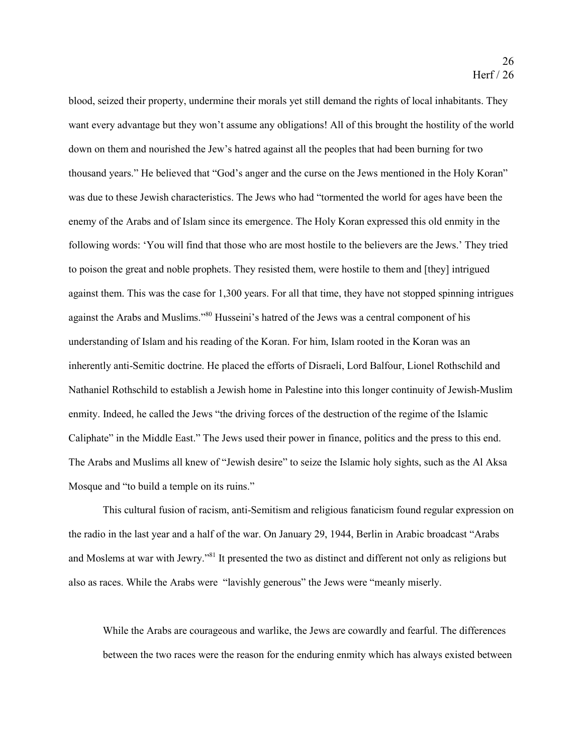<span id="page-27-0"></span>blood, seized their property, undermine their morals yet still demand the rights of local inhabitants. They want every advantage but they won't assume any obligations! All of this brought the hostility of the world down on them and nourished the Jew's hatred against all the peoples that had been burning for two thousand years." He believed that "God's anger and the curse on the Jews mentioned in the Holy Koran" was due to these Jewish characteristics. The Jews who had "tormented the world for ages have been the enemy of the Arabs and of Islam since its emergence. The Holy Koran expressed this old enmity in the following words: 'You will find that those who are most hostile to the believers are the Jews.' They tried to poison the great and noble prophets. They resisted them, were hostile to them and [they] intrigued against them. This was the case for 1,300 years. For all that time, they have not stopped spinning intrigues against the Arabs and Muslims."[80](#page-20-0) Husseini's hatred of the Jews was a central component of his understanding of Islam and his reading of the Koran. For him, Islam rooted in the Koran was an inherently anti-Semitic doctrine. He placed the efforts of Disraeli, Lord Balfour, Lionel Rothschild and Nathaniel Rothschild to establish a Jewish home in Palestine into this longer continuity of Jewish-Muslim enmity. Indeed, he called the Jews "the driving forces of the destruction of the regime of the Islamic Caliphate" in the Middle East." The Jews used their power in finance, politics and the press to this end. The Arabs and Muslims all knew of "Jewish desire" to seize the Islamic holy sights, such as the Al Aksa Mosque and "to build a temple on its ruins."

 This cultural fusion of racism, anti-Semitism and religious fanaticism found regular expression on the radio in the last year and a half of the war. On January 29, 1944, Berlin in Arabic broadcast "Arabs and Moslems at war with Jewry."[81](#page-20-0) It presented the two as distinct and different not only as religions but also as races. While the Arabs were "lavishly generous" the Jews were "meanly miserly.

While the Arabs are courageous and warlike, the Jews are cowardly and fearful. The differences between the two races were the reason for the enduring enmity which has always existed between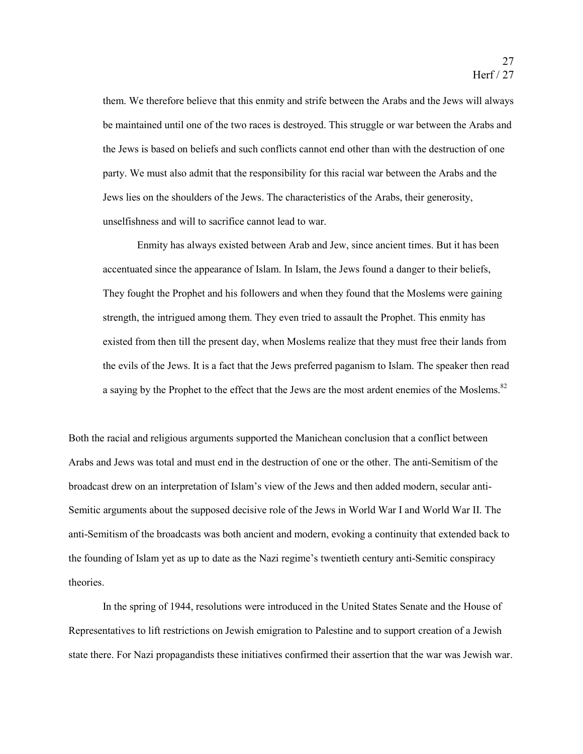them. We therefore believe that this enmity and strife between the Arabs and the Jews will always be maintained until one of the two races is destroyed. This struggle or war between the Arabs and the Jews is based on beliefs and such conflicts cannot end other than with the destruction of one party. We must also admit that the responsibility for this racial war between the Arabs and the Jews lies on the shoulders of the Jews. The characteristics of the Arabs, their generosity, unselfishness and will to sacrifice cannot lead to war.

 Enmity has always existed between Arab and Jew, since ancient times. But it has been accentuated since the appearance of Islam. In Islam, the Jews found a danger to their beliefs, They fought the Prophet and his followers and when they found that the Moslems were gaining strength, the intrigued among them. They even tried to assault the Prophet. This enmity has existed from then till the present day, when Moslems realize that they must free their lands from the evils of the Jews. It is a fact that the Jews preferred paganism to Islam. The speaker then read a saying by the Prophet to the effect that the Jews are the most ardent enemies of the Moslems.<sup>[82](#page-27-0)</sup>

Both the racial and religious arguments supported the Manichean conclusion that a conflict between Arabs and Jews was total and must end in the destruction of one or the other. The anti-Semitism of the broadcast drew on an interpretation of Islam's view of the Jews and then added modern, secular anti-Semitic arguments about the supposed decisive role of the Jews in World War I and World War II. The anti-Semitism of the broadcasts was both ancient and modern, evoking a continuity that extended back to the founding of Islam yet as up to date as the Nazi regime's twentieth century anti-Semitic conspiracy theories.

 In the spring of 1944, resolutions were introduced in the United States Senate and the House of Representatives to lift restrictions on Jewish emigration to Palestine and to support creation of a Jewish state there. For Nazi propagandists these initiatives confirmed their assertion that the war was Jewish war.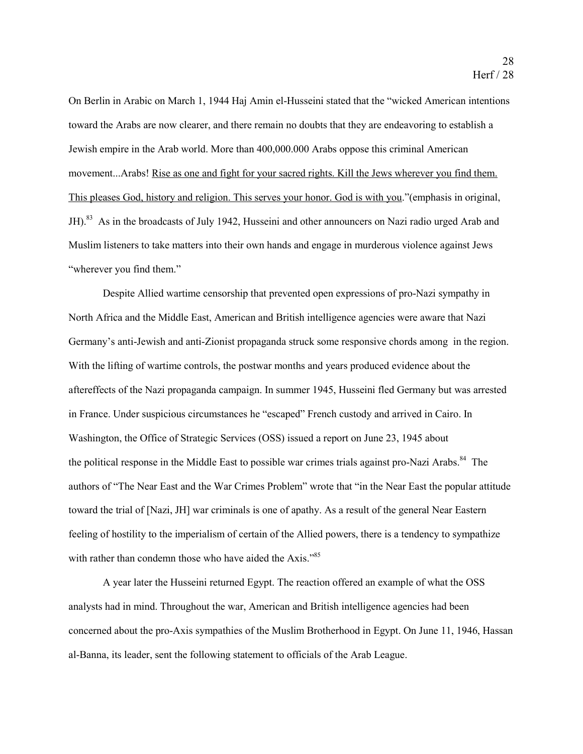On Berlin in Arabic on March 1, 1944 Haj Amin el-Husseini stated that the "wicked American intentions toward the Arabs are now clearer, and there remain no doubts that they are endeavoring to establish a Jewish empire in the Arab world. More than 400,000.000 Arabs oppose this criminal American movement...Arabs! Rise as one and fight for your sacred rights. Kill the Jews wherever you find them. This pleases God, history and religion. This serves your honor. God is with you."(emphasis in original, JH).<sup>[83](#page-27-0)</sup> As in the broadcasts of July 1942, Husseini and other announcers on Nazi radio urged Arab and Muslim listeners to take matters into their own hands and engage in murderous violence against Jews "wherever you find them."

 Despite Allied wartime censorship that prevented open expressions of pro-Nazi sympathy in North Africa and the Middle East, American and British intelligence agencies were aware that Nazi Germany's anti-Jewish and anti-Zionist propaganda struck some responsive chords among in the region. With the lifting of wartime controls, the postwar months and years produced evidence about the aftereffects of the Nazi propaganda campaign. In summer 1945, Husseini fled Germany but was arrested in France. Under suspicious circumstances he "escaped" French custody and arrived in Cairo. In Washington, the Office of Strategic Services (OSS) issued a report on June 23, 1945 about the political response in the Middle East to possible war crimes trials against pro-Nazi Arabs.<sup>[84](#page-27-0)</sup> The authors of "The Near East and the War Crimes Problem" wrote that "in the Near East the popular attitude toward the trial of [Nazi, JH] war criminals is one of apathy. As a result of the general Near Eastern feeling of hostility to the imperialism of certain of the Allied powers, there is a tendency to sympathize with rather than condemn those who have aided the Axis."<sup>[85](#page-27-0)</sup>

 A year later the Husseini returned Egypt. The reaction offered an example of what the OSS analysts had in mind. Throughout the war, American and British intelligence agencies had been concerned about the pro-Axis sympathies of the Muslim Brotherhood in Egypt. On June 11, 1946, Hassan al-Banna, its leader, sent the following statement to officials of the Arab League.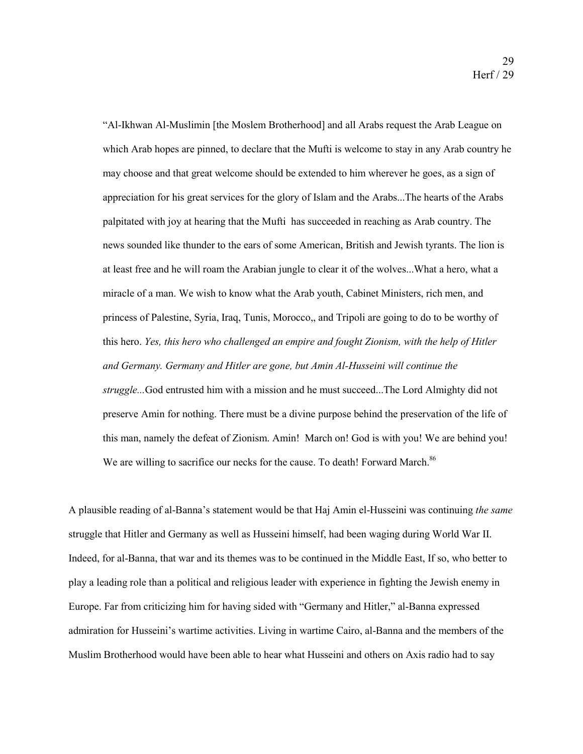"Al-Ikhwan Al-Muslimin [the Moslem Brotherhood] and all Arabs request the Arab League on which Arab hopes are pinned, to declare that the Mufti is welcome to stay in any Arab country he may choose and that great welcome should be extended to him wherever he goes, as a sign of appreciation for his great services for the glory of Islam and the Arabs...The hearts of the Arabs palpitated with joy at hearing that the Mufti has succeeded in reaching as Arab country. The news sounded like thunder to the ears of some American, British and Jewish tyrants. The lion is at least free and he will roam the Arabian jungle to clear it of the wolves...What a hero, what a miracle of a man. We wish to know what the Arab youth, Cabinet Ministers, rich men, and princess of Palestine, Syria, Iraq, Tunis, Morocco,, and Tripoli are going to do to be worthy of this hero. Yes, this hero who challenged an empire and fought Zionism, with the help of Hitler and Germany. Germany and Hitler are gone, but Amin Al-Husseini will continue the struggle...God entrusted him with a mission and he must succeed...The Lord Almighty did not preserve Amin for nothing. There must be a divine purpose behind the preservation of the life of this man, namely the defeat of Zionism. Amin! March on! God is with you! We are behind you! We are willing to sacrifice our necks for the cause. To death! Forward March.<sup>[86](#page-27-0)</sup>

A plausible reading of al-Banna's statement would be that Haj Amin el-Husseini was continuing the same struggle that Hitler and Germany as well as Husseini himself, had been waging during World War II. Indeed, for al-Banna, that war and its themes was to be continued in the Middle East, If so, who better to play a leading role than a political and religious leader with experience in fighting the Jewish enemy in Europe. Far from criticizing him for having sided with "Germany and Hitler," al-Banna expressed admiration for Husseini's wartime activities. Living in wartime Cairo, al-Banna and the members of the Muslim Brotherhood would have been able to hear what Husseini and others on Axis radio had to say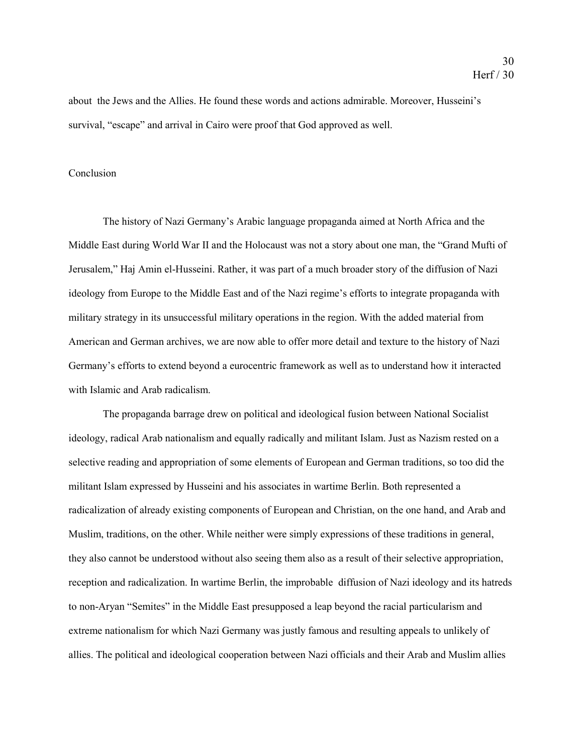about the Jews and the Allies. He found these words and actions admirable. Moreover, Husseini's survival, "escape" and arrival in Cairo were proof that God approved as well.

## Conclusion

 The history of Nazi Germany's Arabic language propaganda aimed at North Africa and the Middle East during World War II and the Holocaust was not a story about one man, the "Grand Mufti of Jerusalem," Haj Amin el-Husseini. Rather, it was part of a much broader story of the diffusion of Nazi ideology from Europe to the Middle East and of the Nazi regime's efforts to integrate propaganda with military strategy in its unsuccessful military operations in the region. With the added material from American and German archives, we are now able to offer more detail and texture to the history of Nazi Germany's efforts to extend beyond a eurocentric framework as well as to understand how it interacted with Islamic and Arab radicalism.

 The propaganda barrage drew on political and ideological fusion between National Socialist ideology, radical Arab nationalism and equally radically and militant Islam. Just as Nazism rested on a selective reading and appropriation of some elements of European and German traditions, so too did the militant Islam expressed by Husseini and his associates in wartime Berlin. Both represented a radicalization of already existing components of European and Christian, on the one hand, and Arab and Muslim, traditions, on the other. While neither were simply expressions of these traditions in general, they also cannot be understood without also seeing them also as a result of their selective appropriation, reception and radicalization. In wartime Berlin, the improbable diffusion of Nazi ideology and its hatreds to non-Aryan "Semites" in the Middle East presupposed a leap beyond the racial particularism and extreme nationalism for which Nazi Germany was justly famous and resulting appeals to unlikely of allies. The political and ideological cooperation between Nazi officials and their Arab and Muslim allies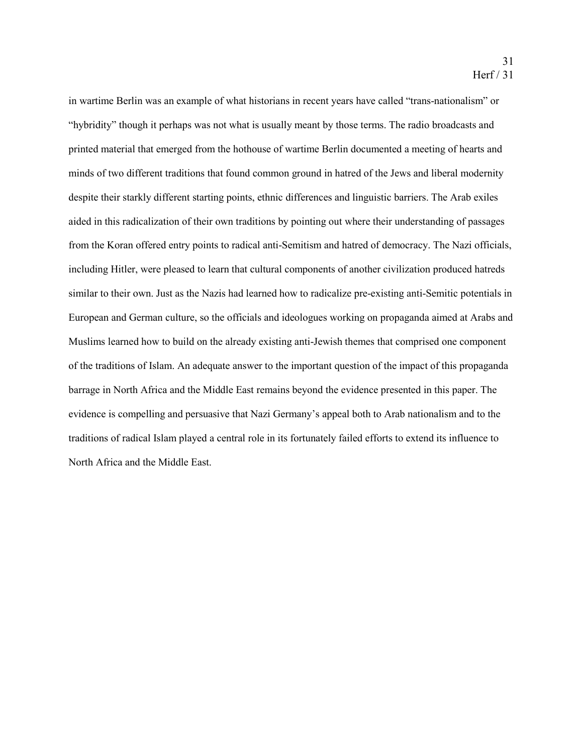in wartime Berlin was an example of what historians in recent years have called "trans-nationalism" or "hybridity" though it perhaps was not what is usually meant by those terms. The radio broadcasts and printed material that emerged from the hothouse of wartime Berlin documented a meeting of hearts and minds of two different traditions that found common ground in hatred of the Jews and liberal modernity despite their starkly different starting points, ethnic differences and linguistic barriers. The Arab exiles aided in this radicalization of their own traditions by pointing out where their understanding of passages from the Koran offered entry points to radical anti-Semitism and hatred of democracy. The Nazi officials, including Hitler, were pleased to learn that cultural components of another civilization produced hatreds similar to their own. Just as the Nazis had learned how to radicalize pre-existing anti-Semitic potentials in European and German culture, so the officials and ideologues working on propaganda aimed at Arabs and Muslims learned how to build on the already existing anti-Jewish themes that comprised one component of the traditions of Islam. An adequate answer to the important question of the impact of this propaganda barrage in North Africa and the Middle East remains beyond the evidence presented in this paper. The evidence is compelling and persuasive that Nazi Germany's appeal both to Arab nationalism and to the traditions of radical Islam played a central role in its fortunately failed efforts to extend its influence to North Africa and the Middle East.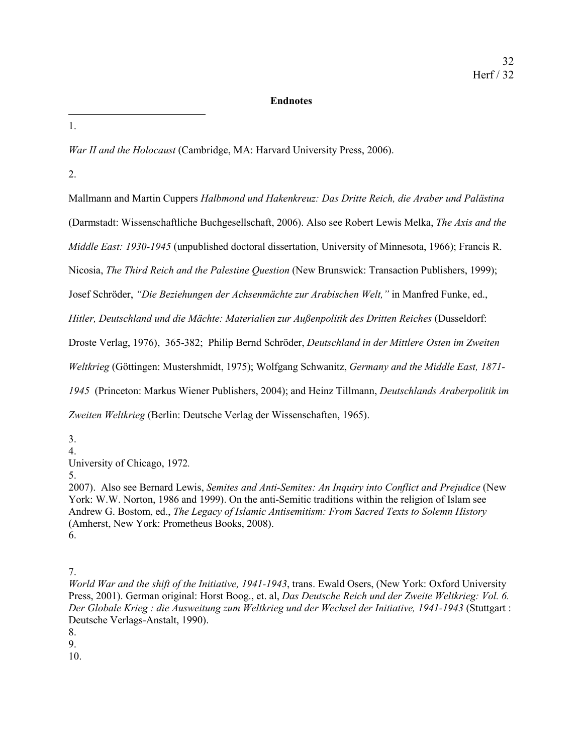## Endnotes

<span id="page-33-0"></span> $\overline{a}$ 1.

War II and the Holocaust (Cambridge, MA: Harvard University Press, 2006).

2.

Mallmann and Martin Cuppers Halbmond und Hakenkreuz: Das Dritte Reich, die Araber und Palästina

(Darmstadt: Wissenschaftliche Buchgesellschaft, 2006). Also see Robert Lewis Melka, The Axis and the

Middle East: 1930-1945 (unpublished doctoral dissertation, University of Minnesota, 1966); Francis R.

Nicosia, The Third Reich and the Palestine Question (New Brunswick: Transaction Publishers, 1999);

Josef Schröder, "Die Beziehungen der Achsenmächte zur Arabischen Welt," in Manfred Funke, ed.,

Hitler, Deutschland und die Mächte: Materialien zur Außenpolitik des Dritten Reiches (Dusseldorf:

Droste Verlag, 1976), 365-382; Philip Bernd Schröder, Deutschland in der Mittlere Osten im Zweiten

Weltkrieg (Göttingen: Mustershmidt, 1975); Wolfgang Schwanitz, Germany and the Middle East, 1871-

1945 (Princeton: Markus Wiener Publishers, 2004); and Heinz Tillmann, Deutschlands Araberpolitik im Zweiten Weltkrieg (Berlin: Deutsche Verlag der Wissenschaften, 1965).

3. 4.

University of Chicago, 1972.

2007). Also see Bernard Lewis, Semites and Anti-Semites: An Inquiry into Conflict and Prejudice (New York: W.W. Norton, 1986 and 1999). On the anti-Semitic traditions within the religion of Islam see Andrew G. Bostom, ed., The Legacy of Islamic Antisemitism: From Sacred Texts to Solemn History (Amherst, New York: Prometheus Books, 2008). 6.

7.

World War and the shift of the Initiative, 1941-1943, trans. Ewald Osers, (New York: Oxford University Press, 2001). German original: Horst Boog., et. al, Das Deutsche Reich und der Zweite Weltkrieg: Vol. 6. Der Globale Krieg : die Ausweitung zum Weltkrieg und der Wechsel der Initiative, 1941-1943 (Stuttgart : Deutsche Verlags-Anstalt, 1990).

8.

9.

10.

<sup>5.</sup>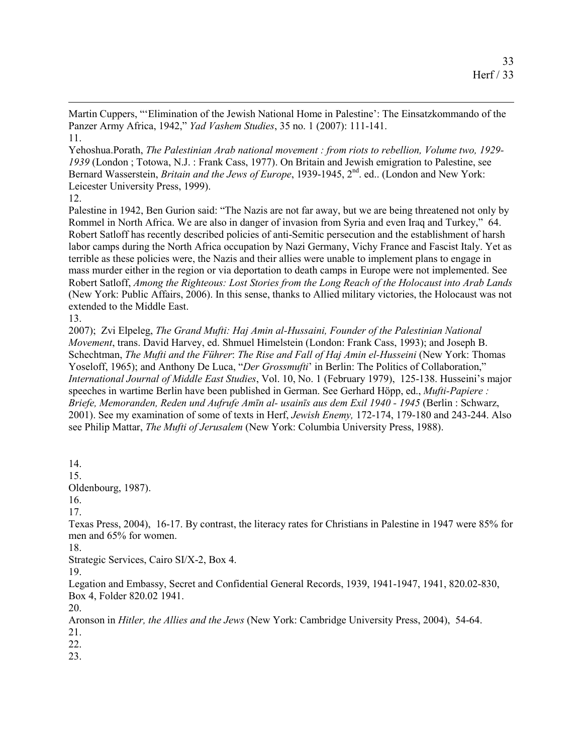$\overline{a}$ Martin Cuppers, "'Elimination of the Jewish National Home in Palestine': The Einsatzkommando of the Panzer Army Africa, 1942," Yad Vashem Studies, 35 no. 1 (2007): 111-141. 11.

Yehoshua.Porath, The Palestinian Arab national movement : from riots to rebellion, Volume two, 1929- 1939 (London ; Totowa, N.J. : Frank Cass, 1977). On Britain and Jewish emigration to Palestine, see Bernard Wasserstein, *Britain and the Jews of Europe*, 1939-1945, 2<sup>nd</sup>, ed., (London and New York: Leicester University Press, 1999).

12.

Palestine in 1942, Ben Gurion said: "The Nazis are not far away, but we are being threatened not only by Rommel in North Africa. We are also in danger of invasion from Syria and even Iraq and Turkey," 64. Robert Satloff has recently described policies of anti-Semitic persecution and the establishment of harsh labor camps during the North Africa occupation by Nazi Germany, Vichy France and Fascist Italy. Yet as terrible as these policies were, the Nazis and their allies were unable to implement plans to engage in mass murder either in the region or via deportation to death camps in Europe were not implemented. See Robert Satloff, Among the Righteous: Lost Stories from the Long Reach of the Holocaust into Arab Lands (New York: Public Affairs, 2006). In this sense, thanks to Allied military victories, the Holocaust was not extended to the Middle East.

13.

2007); Zvi Elpeleg, The Grand Mufti: Haj Amin al-Hussaini, Founder of the Palestinian National Movement, trans. David Harvey, ed. Shmuel Himelstein (London: Frank Cass, 1993); and Joseph B. Schechtman, The Mufti and the Führer: The Rise and Fall of Haj Amin el-Husseini (New York: Thomas Yoseloff, 1965); and Anthony De Luca, "Der Grossmufti' in Berlin: The Politics of Collaboration," International Journal of Middle East Studies, Vol. 10, No. 1 (February 1979), 125-138. Husseini's major speeches in wartime Berlin have been published in German. See Gerhard Höpp, ed., *Mufti-Papiere* : Briefe, Memoranden, Reden und Aufrufe Amīn al- usainīs aus dem Exil 1940 - 1945 (Berlin : Schwarz, 2001). See my examination of some of texts in Herf, Jewish Enemy, 172-174, 179-180 and 243-244. Also see Philip Mattar, The Mufti of Jerusalem (New York: Columbia University Press, 1988).

14.

15.

Oldenbourg, 1987).

16.

17.

Texas Press, 2004), 16-17. By contrast, the literacy rates for Christians in Palestine in 1947 were 85% for men and 65% for women.

18.

Strategic Services, Cairo SI/X-2, Box 4.

19.

Legation and Embassy, Secret and Confidential General Records, 1939, 1941-1947, 1941, 820.02-830, Box 4, Folder 820.02 1941.

20.

Aronson in Hitler, the Allies and the Jews (New York: Cambridge University Press, 2004), 54-64.

21.

22.

23.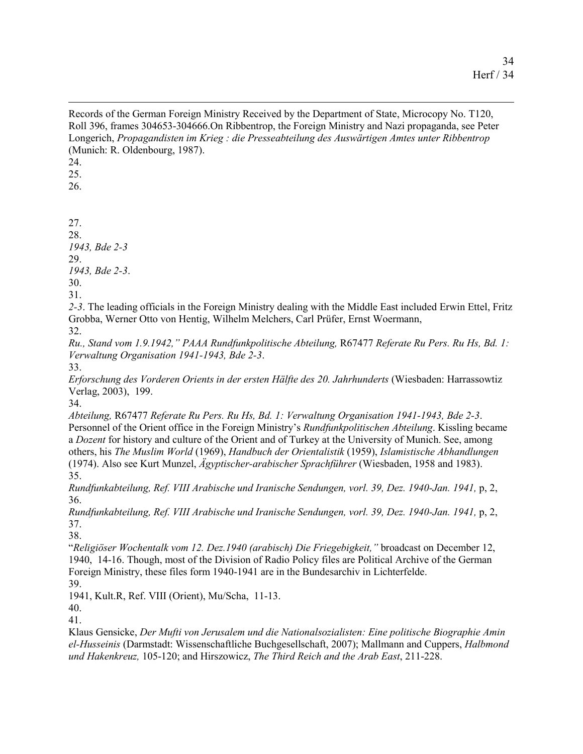$\overline{a}$ Records of the German Foreign Ministry Received by the Department of State, Microcopy No. T120, Roll 396, frames 304653-304666.On Ribbentrop, the Foreign Ministry and Nazi propaganda, see Peter Longerich, Propagandisten im Krieg : die Presseabteilung des Auswärtigen Amtes unter Ribbentrop (Munich: R. Oldenbourg, 1987). 24. 25. 26. 27. 28. 1943, Bde 2-3 29. 1943, Bde 2-3. 30. 31. 2-3. The leading officials in the Foreign Ministry dealing with the Middle East included Erwin Ettel, Fritz Grobba, Werner Otto von Hentig, Wilhelm Melchers, Carl Prüfer, Ernst Woermann, 32. Ru., Stand vom 1.9.1942," PAAA Rundfunkpolitische Abteilung, R67477 Referate Ru Pers. Ru Hs, Bd. 1: Verwaltung Organisation 1941-1943, Bde 2-3. 33. Erforschung des Vorderen Orients in der ersten Hälfte des 20. Jahrhunderts (Wiesbaden: Harrassowtiz Verlag, 2003), 199. 34. Abteilung, R67477 Referate Ru Pers. Ru Hs, Bd. 1: Verwaltung Organisation 1941-1943, Bde 2-3. Personnel of the Orient office in the Foreign Ministry's Rundfunkpolitischen Abteilung. Kissling became a Dozent for history and culture of the Orient and of Turkey at the University of Munich. See, among others, his The Muslim World (1969), Handbuch der Orientalistik (1959), Islamistische Abhandlungen (1974). Also see Kurt Munzel, Ägyptischer-arabischer Sprachführer (Wiesbaden, 1958 and 1983). 35. Rundfunkabteilung, Ref. VIII Arabische und Iranische Sendungen, vorl. 39, Dez. 1940-Jan. 1941, p, 2, 36. Rundfunkabteilung, Ref. VIII Arabische und Iranische Sendungen, vorl. 39, Dez. 1940-Jan. 1941, p, 2, 37. 38. "Religiöser Wochentalk vom 12. Dez.1940 (arabisch) Die Friegebigkeit," broadcast on December 12, 1940, 14-16. Though, most of the Division of Radio Policy files are Political Archive of the German Foreign Ministry, these files form 1940-1941 are in the Bundesarchiv in Lichterfelde. 39. 1941, Kult.R, Ref. VIII (Orient), Mu/Scha, 11-13. 40. 41. Klaus Gensicke, Der Mufti von Jerusalem und die Nationalsozialisten: Eine politische Biographie Amin el-Husseinis (Darmstadt: Wissenschaftliche Buchgesellschaft, 2007); Mallmann and Cuppers, Halbmond und Hakenkreuz, 105-120; and Hirszowicz, The Third Reich and the Arab East, 211-228.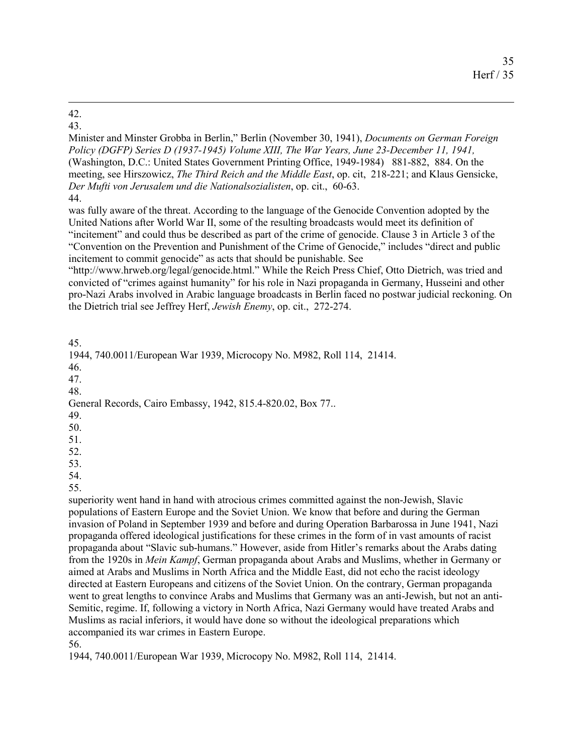## $\overline{a}$ 42.

43.

Minister and Minster Grobba in Berlin," Berlin (November 30, 1941), Documents on German Foreign Policy (DGFP) Series D (1937-1945) Volume XIII, The War Years, June 23-December 11, 1941, (Washington, D.C.: United States Government Printing Office, 1949-1984) 881-882, 884. On the meeting, see Hirszowicz, The Third Reich and the Middle East, op. cit, 218-221; and Klaus Gensicke, Der Mufti von Jerusalem und die Nationalsozialisten, op. cit., 60-63. 44.

was fully aware of the threat. According to the language of the Genocide Convention adopted by the United Nations after World War II, some of the resulting broadcasts would meet its definition of "incitement" and could thus be described as part of the crime of genocide. Clause 3 in Article 3 of the "Convention on the Prevention and Punishment of the Crime of Genocide," includes "direct and public incitement to commit genocide" as acts that should be punishable. See

"http://www.hrweb.org/legal/genocide.html." While the Reich Press Chief, Otto Dietrich, was tried and convicted of "crimes against humanity" for his role in Nazi propaganda in Germany, Husseini and other pro-Nazi Arabs involved in Arabic language broadcasts in Berlin faced no postwar judicial reckoning. On the Dietrich trial see Jeffrey Herf, Jewish Enemy, op. cit., 272-274.

45.

1944, 740.0011/European War 1939, Microcopy No. M982, Roll 114, 21414. 46. 47. 48. General Records, Cairo Embassy, 1942, 815.4-820.02, Box 77.. 49. 50. 51. 52. 53. 54. 55. superiority went hand in hand with atrocious crimes committed against the non-Jewish, Slavic

populations of Eastern Europe and the Soviet Union. We know that before and during the German invasion of Poland in September 1939 and before and during Operation Barbarossa in June 1941, Nazi propaganda offered ideological justifications for these crimes in the form of in vast amounts of racist propaganda about "Slavic sub-humans." However, aside from Hitler's remarks about the Arabs dating from the 1920s in Mein Kampf, German propaganda about Arabs and Muslims, whether in Germany or aimed at Arabs and Muslims in North Africa and the Middle East, did not echo the racist ideology directed at Eastern Europeans and citizens of the Soviet Union. On the contrary, German propaganda went to great lengths to convince Arabs and Muslims that Germany was an anti-Jewish, but not an anti-Semitic, regime. If, following a victory in North Africa, Nazi Germany would have treated Arabs and Muslims as racial inferiors, it would have done so without the ideological preparations which accompanied its war crimes in Eastern Europe. 56.

1944, 740.0011/European War 1939, Microcopy No. M982, Roll 114, 21414.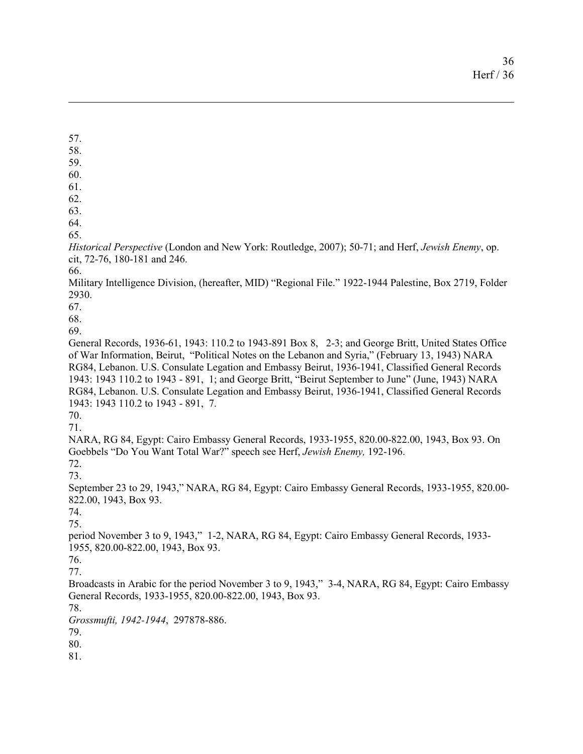57.

 $\overline{a}$ 

- 58.
- 59.
- 60. 61.
- 62.
- 63.
- 64.
- 65.

Historical Perspective (London and New York: Routledge, 2007); 50-71; and Herf, Jewish Enemy, op. cit, 72-76, 180-181 and 246.

66.

Military Intelligence Division, (hereafter, MID) "Regional File." 1922-1944 Palestine, Box 2719, Folder 2930.

67.

68.

69.

General Records, 1936-61, 1943: 110.2 to 1943-891 Box 8, 2-3; and George Britt, United States Office of War Information, Beirut, "Political Notes on the Lebanon and Syria," (February 13, 1943) NARA RG84, Lebanon. U.S. Consulate Legation and Embassy Beirut, 1936-1941, Classified General Records 1943: 1943 110.2 to 1943 - 891, 1; and George Britt, "Beirut September to June" (June, 1943) NARA RG84, Lebanon. U.S. Consulate Legation and Embassy Beirut, 1936-1941, Classified General Records 1943: 1943 110.2 to 1943 - 891, 7.

70.

71.

NARA, RG 84, Egypt: Cairo Embassy General Records, 1933-1955, 820.00-822.00, 1943, Box 93. On Goebbels "Do You Want Total War?" speech see Herf, Jewish Enemy, 192-196.

72.

73. September 23 to 29, 1943," NARA, RG 84, Egypt: Cairo Embassy General Records, 1933-1955, 820.00- 822.00, 1943, Box 93.

74.

75.

period November 3 to 9, 1943," 1-2, NARA, RG 84, Egypt: Cairo Embassy General Records, 1933- 1955, 820.00-822.00, 1943, Box 93.

76.

77.

Broadcasts in Arabic for the period November 3 to 9, 1943," 3-4, NARA, RG 84, Egypt: Cairo Embassy General Records, 1933-1955, 820.00-822.00, 1943, Box 93.

78.

Grossmufti, 1942-1944, 297878-886.

79.

80.

81.